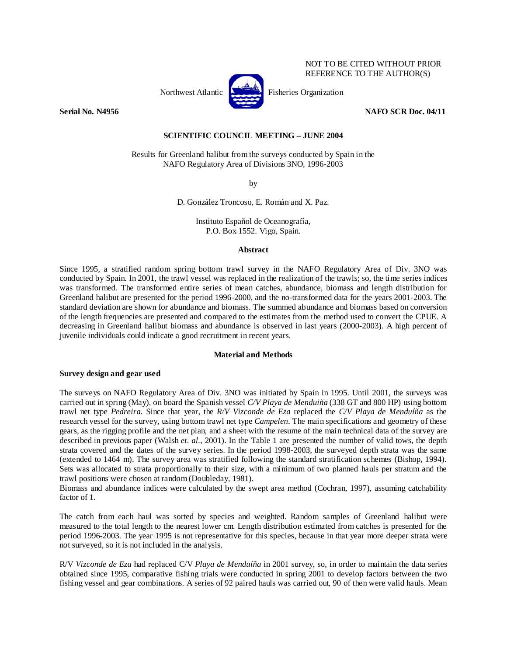

NOT TO BE CITED WITHOUT PRIOR REFERENCE TO THE AUTHOR(S)

## **Serial No. N4956 NAFO SCR Doc. 04/11 NAFO SCR Doc. 04/11**

# **SCIENTIFIC COUNCIL MEETING – JUNE 2004**

Results for Greenland halibut from the surveys conducted by Spain in the NAFO Regulatory Area of Divisions 3NO, 1996-2003

by

D. González Troncoso, E. Román and X. Paz.

Instituto Español de Oceanografía, P.O. Box 1552. Vigo, Spain.

## **Abstract**

Since 1995, a stratified random spring bottom trawl survey in the NAFO Regulatory Area of Div. 3NO was conducted by Spain. In 2001, the trawl vessel was replaced in the realization of the trawls; so, the time series indices was transformed. The transformed entire series of mean catches, abundance, biomass and length distribution for Greenland halibut are presented for the period 1996-2000, and the no-transformed data for the years 2001-2003. The standard deviation are shown for abundance and biomass. The summed abundance and biomass based on conversion of the length frequencies are presented and compared to the estimates from the method used to convert the CPUE. A decreasing in Greenland halibut biomass and abundance is observed in last years (2000-2003). A high percent of juvenile individuals could indicate a good recruitment in recent years.

## **Material and Methods**

# **Survey design and gear used**

The surveys on NAFO Regulatory Area of Div. 3NO was initiated by Spain in 1995. Until 2001, the surveys was carried out in spring (May), on board the Spanish vessel *C/V Playa de Menduiña* (338 GT and 800 HP) using bottom trawl net type *Pedreira*. Since that year, the *R/V Vizconde de Eza* replaced the *C/V Playa de Menduíña* as the research vessel for the survey, using bottom trawl net type *Campelen*. The main specifications and geometry of these gears, as the rigging profile and the net plan, and a sheet with the resume of the main technical data of the survey are described in previous paper (Walsh *et. al.*, 2001). In the Table 1 are presented the number of valid tows, the depth strata covered and the dates of the survey series. In the period 1998-2003, the surveyed depth strata was the same (extended to 1464 m). The survey area was stratified following the standard stratification schemes (Bishop, 1994). Sets was allocated to strata proportionally to their size, with a minimum of two planned hauls per stratum and the trawl positions were chosen at random (Doubleday, 1981).

Biomass and abundance indices were calculated by the swept area method (Cochran, 1997), assuming catchability factor of 1.

The catch from each haul was sorted by species and weighted. Random samples of Greenland halibut were measured to the total length to the nearest lower cm. Length distribution estimated from catches is presented for the period 1996-2003. The year 1995 is not representative for this species, because in that year more deeper strata were not surveyed, so it is not included in the analysis.

R/V *Vizconde de Eza* had replaced C/V *Playa de Menduíña* in 2001 survey, so, in order to maintain the data series obtained since 1995, comparative fishing trials were conducted in spring 2001 to develop factors between the two fishing vessel and gear combinations. A series of 92 paired hauls was carried out, 90 of then were valid hauls. Mean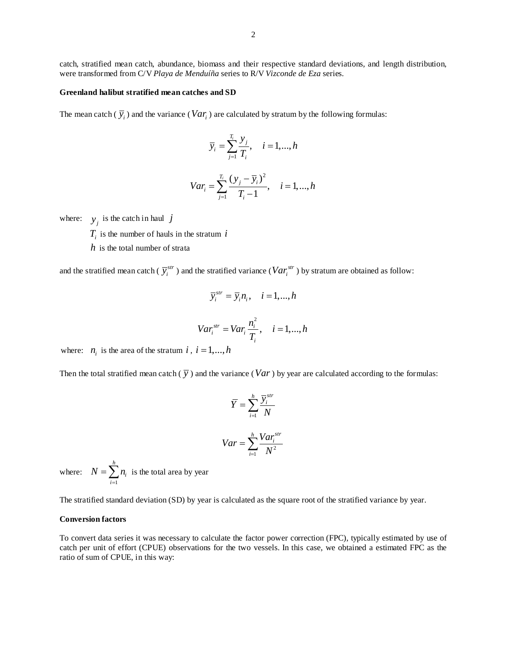catch, stratified mean catch, abundance, biomass and their respective standard deviations, and length distribution, were transformed from C/V *Playa de Menduíña* series to R/V *Vizconde de Eza* series.

## **Greenland halibut stratified mean catches and SD**

The mean catch ( $\overline{y}_i$ ) and the variance (*Var<sub>i</sub>*) are calculated by stratum by the following formulas:

$$
\overline{y}_i = \sum_{j=1}^{T_i} \frac{y_j}{T_i}, \quad i = 1, \dots, h
$$

$$
Var_i = \sum_{j=1}^{T_i} \frac{(y_j - \overline{y}_i)^2}{T_i - 1}, \quad i = 1, ..., h
$$

where:  $y_i$  is the catch in haul *j* 

- $T_i$  is the number of hauls in the stratum  $i$
- *h* is the total number of strata

and the stratified mean catch ( $\bar{y}^{str}_i$ ) and the stratified variance ( $Var^{str}_i$ ) by stratum are obtained as follow:

$$
\overline{y}_i^{str} = \overline{y}_i n_i, \quad i = 1, ..., h
$$
  

$$
Var_i^{str} = Var_i \frac{n_i^2}{T_i}, \quad i = 1, ..., h
$$

where:  $n_i$  is the area of the stratum *i*,  $i = 1, ..., h$ 

Then the total stratified mean catch  $(\bar{y})$  and the variance (*Var*) by year are calculated according to the formulas:

$$
\overline{Y} = \sum_{i=1}^{h} \frac{\overline{Y}_{i}^{str}}{N}
$$

$$
Var = \sum_{i=1}^{h} \frac{Var_{i}^{str}}{N^{2}}
$$

where: 1 *h i i*  $N = \sum n$  $=\sum_{i=1}^{n} n_i$  is the total area by year

The stratified standard deviation (SD) by year is calculated as the square root of the stratified variance by year.

## **Conversion factors**

To convert data series it was necessary to calculate the factor power correction (FPC), typically estimated by use of catch per unit of effort (CPUE) observations for the two vessels. In this case, we obtained a estimated FPC as the ratio of sum of CPUE, in this way: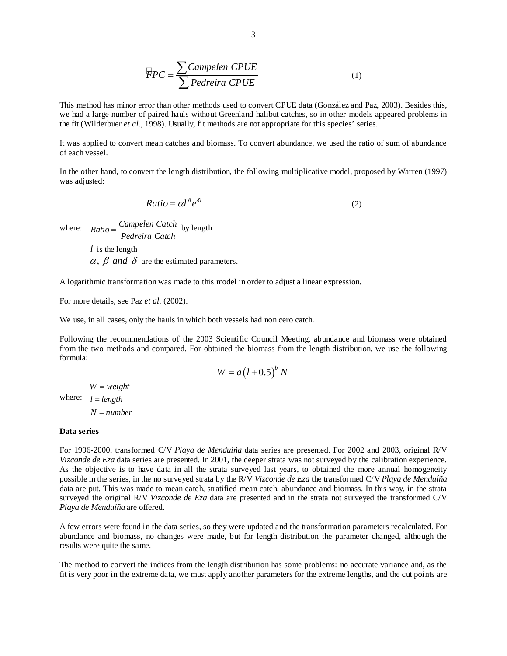$$
\overline{F}PC = \frac{\sum \text{Campelen CPUE}}{\sum \text{Pedreira CPUE}} \tag{1}
$$

This method has minor error than other methods used to convert CPUE data (González and Paz, 2003). Besides this, we had a large number of paired hauls without Greenland halibut catches, so in other models appeared problems in the fit (Wilderbuer *et al.*, 1998). Usually, fit methods are not appropriate for this species' series.

It was applied to convert mean catches and biomass. To convert abundance, we used the ratio of sum of abundance of each vessel.

In the other hand, to convert the length distribution, the following multiplicative model, proposed by Warren (1997) was adjusted:

$$
Ratio = \alpha l^{\beta} e^{\delta l} \tag{2}
$$

where:  $Ratio = \frac{Campelen Catch}{Pedreira Catch}$  by length

*l* is the length  $\alpha$ ,  $\beta$  and  $\delta$  are the estimated parameters.

A logarithmic transformation was made to this model in order to adjust a linear expression.

For more details, see Paz *et al.* (2002).

We use, in all cases, only the hauls in which both vessels had non cero catch.

Following the recommendations of the 2003 Scientific Council Meeting, abundance and biomass were obtained from the two methods and compared. For obtained the biomass from the length distribution, we use the following formula:

$$
W = a(l+0.5)^b N
$$

where:  $l = length$  $W = weight$  $N = number$ 

#### **Data series**

For 1996-2000, transformed C/V *Playa de Menduíña* data series are presented. For 2002 and 2003, original R/V *Vizconde de Eza* data series are presented. In 2001, the deeper strata was not surveyed by the calibration experience. As the objective is to have data in all the strata surveyed last years, to obtained the more annual homogeneity possible in the series, in the no surveyed strata by the R/V *Vizconde de Eza* the transformed C/V *Playa de Menduíña* data are put. This was made to mean catch, stratified mean catch, abundance and biomass. In this way, in the strata surveyed the original R/V *Vizconde de Eza* data are presented and in the strata not surveyed the transformed C/V *Playa de Menduíña* are offered.

A few errors were found in the data series, so they were updated and the transformation parameters recalculated. For abundance and biomass, no changes were made, but for length distribution the parameter changed, although the results were quite the same.

The method to convert the indices from the length distribution has some problems: no accurate variance and, as the fit is very poor in the extreme data, we must apply another parameters for the extreme lengths, and the cut points are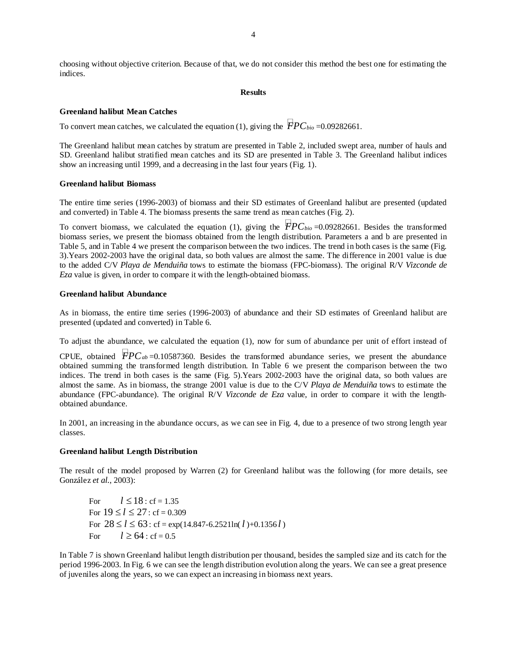choosing without objective criterion. Because of that, we do not consider this method the best one for estimating the indices.

## **Results**

## **Greenland halibut Mean Catches**

To convert mean catches, we calculated the equation (1), giving the  $\overline{FPC_{bio}}$  =0.09282661.

The Greenland halibut mean catches by stratum are presented in Table 2, included swept area, number of hauls and SD. Greenland halibut stratified mean catches and its SD are presented in Table 3. The Greenland halibut indices show an increasing until 1999, and a decreasing in the last four years (Fig. 1).

### **Greenland halibut Biomass**

The entire time series (1996-2003) of biomass and their SD estimates of Greenland halibut are presented (updated and converted) in Table 4. The biomass presents the same trend as mean catches (Fig. 2).

To convert biomass, we calculated the equation (1), giving the  $\overline{PPC}_{bio}$  =0.09282661. Besides the transformed biomass series, we present the biomass obtained from the length distribution. Parameters a and b are presented in Table 5, and in Table 4 we present the comparison between the two indices. The trend in both cases is the same (Fig. 3).Years 2002-2003 have the original data, so both values are almost the same. The difference in 2001 value is due to the added C/V *Playa de Menduiña* tows to estimate the biomass (FPC-biomass). The original R/V *Vizconde de Eza* value is given, in order to compare it with the length-obtained biomass.

### **Greenland halibut Abundance**

As in biomass, the entire time series (1996-2003) of abundance and their SD estimates of Greenland halibut are presented (updated and converted) in Table 6.

To adjust the abundance, we calculated the equation (1), now for sum of abundance per unit of effort instead of

CPUE, obtained  $\overline{FPC}_{ab}$ =0.10587360. Besides the transformed abundance series, we present the abundance obtained summing the transformed length distribution. In Table 6 we present the comparison between the two indices. The trend in both cases is the same (Fig. 5).Years 2002-2003 have the original data, so both values are almost the same. As in biomass, the strange 2001 value is due to the C/V *Playa de Menduiña* tows to estimate the abundance (FPC-abundance). The original R/V *Vizconde de Eza* value, in order to compare it with the lengthobtained abundance.

In 2001, an increasing in the abundance occurs, as we can see in Fig. 4, due to a presence of two strong length year classes.

## **Greenland halibut Length Distribution**

The result of the model proposed by Warren (2) for Greenland halibut was the following (for more details, see González *et al.*, 2003):

For  $l \le 18$  : cf = 1.35 For  $19 \le l \le 27$ : cf = 0.309 For  $28 \le l \le 63$ : cf = exp(14.847-6.2521ln( $l$ )+0.1356 $l$ ) For  $l \ge 64$ : cf = 0.5

In Table 7 is shown Greenland halibut length distribution per thousand, besides the sampled size and its catch for the period 1996-2003. In Fig. 6 we can see the length distribution evolution along the years. We can see a great presence of juveniles along the years, so we can expect an increasing in biomass next years.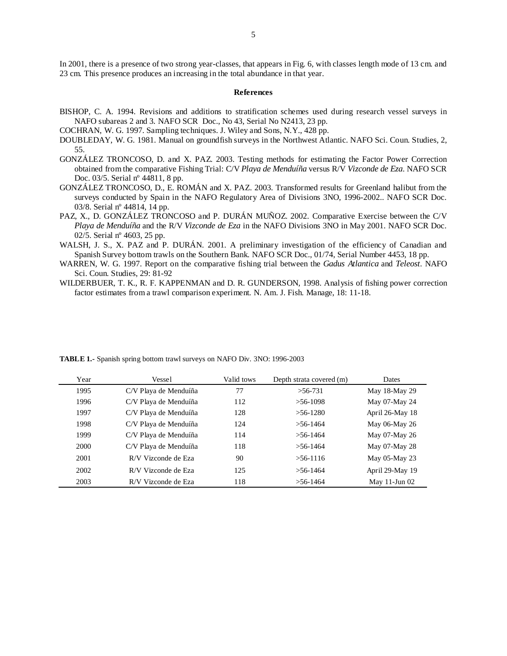In 2001, there is a presence of two strong year-classes, that appears in Fig. 6, with classes length mode of 13 cm. and 23 cm. This presence produces an increasing in the total abundance in that year.

### **References**

- BISHOP, C. A. 1994. Revisions and additions to stratification schemes used during research vessel surveys in NAFO subareas 2 and 3*.* NAFO SCR Doc., No 43, Serial No N2413, 23 pp.
- COCHRAN, W. G. 1997. Sampling techniques. J. Wiley and Sons, N.Y., 428 pp.
- DOUBLEDAY, W. G. 1981. Manual on groundfish surveys in the Northwest Atlantic. NAFO Sci. Coun. Studies, 2, 55.
- GONZÁLEZ TRONCOSO, D. and X. PAZ. 2003. Testing methods for estimating the Factor Power Correction obtained from the comparative Fishing Trial: C/V *Playa de Menduíña* versus R/V *Vizconde de Eza*. NAFO SCR Doc. 03/5. Serial nº 44811, 8 pp.
- GONZÁLEZ TRONCOSO, D., E. ROMÁN and X. PAZ. 2003. Transformed results for Greenland halibut from the surveys conducted by Spain in the NAFO Regulatory Area of Divisions 3NO, 1996-2002.. NAFO SCR Doc. 03/8. Serial nº 44814, 14 pp.
- PAZ, X., D. GONZÁLEZ TRONCOSO and P. DURÁN MUÑOZ. 2002. Comparative Exercise between the C/V *Playa de Menduíña* and the R/V *Vizconde de Eza* in the NAFO Divisions 3NO in May 2001. NAFO SCR Doc. 02/5. Serial nº 4603, 25 pp.
- WALSH, J. S., X. PAZ and P. DURÁN. 2001. A preliminary investigation of the efficiency of Canadian and Spanish Survey bottom trawls on the Southern Bank. NAFO SCR Doc., 01/74, Serial Number 4453, 18 pp.
- WARREN, W. G. 1997. Report on the comparative fishing trial between the *Gadus Atlantica* and *Teleost*. NAFO Sci. Coun. Studies, 29: 81-92
- WILDERBUER, T. K., R. F. KAPPENMAN and D. R. GUNDERSON, 1998. Analysis of fishing power correction factor estimates from a trawl comparison experiment. N. Am. J. Fish. Manage, 18: 11-18.

| Year | Vessel                | Valid tows | Depth strata covered (m) | <b>Dates</b>       |
|------|-----------------------|------------|--------------------------|--------------------|
| 1995 | C/V Playa de Menduíña | 77         | $>56-731$                | May 18-May 29      |
| 1996 | C/V Playa de Menduíña | 112        | $>56-1098$               | May 07-May 24      |
| 1997 | C/V Plava de Menduíña | 128        | $>56-1280$               | April 26-May 18    |
| 1998 | C/V Playa de Menduíña | 124        | $> 56 - 1464$            | May 06-May 26      |
| 1999 | C/V Playa de Menduíña | 114        | $> 56 - 1464$            | May 07-May 26      |
| 2000 | C/V Playa de Menduíña | 118        | $> 56 - 1464$            | May 07-May 28      |
| 2001 | R/V Vizconde de Eza   | 90         | $>56-1116$               | May 05-May 23      |
| 2002 | R/V Vizconde de Eza   | 125        | $>$ 56-1464              | April 29-May 19    |
| 2003 | R/V Vizconde de Eza   | 118        | $> 56 - 1464$            | May $11$ -Jun $02$ |

**TABLE 1.-** Spanish spring bottom trawl surveys on NAFO Div. 3NO: 1996-2003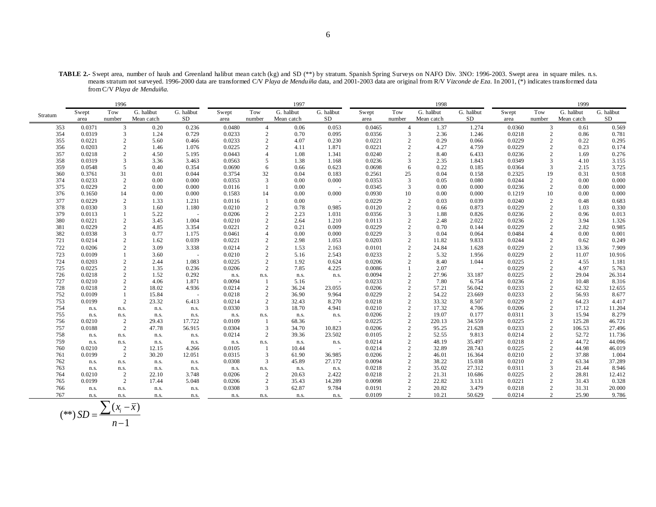**TABLE 2.-** Swept area, number of hauls and Greenland halibut mean catch (kg) and SD (\*\*) by stratum. Spanish Spring Surveys on NAFO Div. 3NO: 1996-2003. Swept area in square miles. n.s. means stratum not surveyed. 1996-2000 data are transformed C/V *Playa de Menduíña* data, and 2001-2003 data are original from R/V *Vizconde de Eza*. In 2001, (\*) indicates transformed data from C/V *Playa de Menduiña.*

|         |        | 1996           |            |            | 1997   |                |            |            |        | 1998           |            |            |        | 1999           |            |            |  |
|---------|--------|----------------|------------|------------|--------|----------------|------------|------------|--------|----------------|------------|------------|--------|----------------|------------|------------|--|
| Stratum | Swept  | Tow            | G. halibut | G. halibut | Swept  | Tow            | G. halibut | G. halibut | Swept  | Tow            | G. halibut | G. halibut | Swept  | Tow            | G. halibut | G. halibut |  |
|         | area   | number         | Mean catch | SD         | area   | number         | Mean catch | <b>SD</b>  | area   | number         | Mean catch | SD         | area   | number         | Mean catch | SD         |  |
| 353     | 0.0371 | 3              | 0.20       | 0.236      | 0.0480 | $\overline{4}$ | 0.06       | 0.053      | 0.0465 | $\overline{4}$ | 1.37       | 1.274      | 0.0360 | $\mathbf{3}$   | 0.61       | 0.569      |  |
| 354     | 0.0319 | 3              | 1.24       | 0.729      | 0.0233 | 2              | 0.70       | 0.095      | 0.0356 | 3              | 2.36       | 1.246      | 0.0218 | 2              | 0.86       | 0.781      |  |
| 355     | 0.0221 | $\overline{2}$ | 5.60       | 0.466      | 0.0233 | 2              | 4.07       | 0.230      | 0.0221 | $\overline{c}$ | 0.29       | 0.066      | 0.0229 | 2              | 0.22       | 0.295      |  |
| 356     | 0.0203 | $\overline{c}$ | 1.46       | 1.076      | 0.0225 | 2              | 4.11       | 1.871      | 0.0221 | $\overline{c}$ | 4.27       | 4.759      | 0.0229 | 2              | 0.23       | 0.174      |  |
| 357     | 0.0218 | $\overline{2}$ | 4.50       | 5.195      | 0.0443 | $\overline{4}$ | 1.08       | 1.341      | 0.0240 | 2              | 8.40       | 6.433      | 0.0236 | 2              | 1.69       | 0.276      |  |
| 358     | 0.0319 | 3              | 3.36       | 3.463      | 0.0563 | .5             | 1.38       | 1.168      | 0.0236 | 3              | 2.35       | 1.843      | 0.0349 | 3              | 4.10       | 3.155      |  |
| 359     | 0.0548 | 5              | 0.40       | 0.354      | 0.0690 | 6              | 0.66       | 0.623      | 0.0698 | 6              | 0.22       | 0.185      | 0.0364 | 3              | 2.15       | 3.725      |  |
| 360     | 0.3761 | 31             | 0.01       | 0.044      | 0.3754 | 32             | 0.04       | 0.183      | 0.2561 | 25             | 0.04       | 0.158      | 0.2325 | 19             | 0.31       | 0.918      |  |
| 374     | 0.0233 | $\overline{2}$ | 0.00       | 0.000      | 0.0353 | 3              | 0.00       | 0.000      | 0.0353 | 3              | 0.05       | 0.080      | 0.0244 | 2              | 0.00       | 0.000      |  |
| 375     | 0.0229 | $\overline{2}$ | 0.00       | 0.000      | 0.0116 |                | 0.00       | $\sim$     | 0.0345 | 3              | 0.00       | 0.000      | 0.0236 | 2              | 0.00       | 0.000      |  |
| 376     | 0.1650 | 14             | 0.00       | 0.000      | 0.1583 | 14             | 0.00       | 0.000      | 0.0930 | 10             | 0.00       | 0.000      | 0.1219 | 10             | 0.00       | 0.000      |  |
| 377     | 0.0229 | $\overline{2}$ | 1.33       | 1.231      | 0.0116 |                | 0.00       | $\sim$     | 0.0229 | $\overline{2}$ | 0.03       | 0.039      | 0.0240 | 2              | 0.48       | 0.683      |  |
| 378     | 0.0330 | 3              | 1.60       | 1.180      | 0.0210 | $\overline{c}$ | 0.78       | 0.985      | 0.0120 | $\overline{c}$ | 0.66       | 0.873      | 0.0229 | $\overline{c}$ | 1.03       | 0.330      |  |
| 379     | 0.0113 |                | 5.22       | $\sim$     | 0.0206 | $\overline{2}$ | 2.23       | 1.031      | 0.0356 | 3              | 1.88       | 0.826      | 0.0236 | $\overline{c}$ | 0.96       | 0.013      |  |
| 380     | 0.0221 | $\overline{2}$ | 3.45       | 1.004      | 0.0210 | $\overline{2}$ | 2.64       | 1.210      | 0.0113 | $\overline{2}$ | 2.48       | 2.022      | 0.0236 | $\overline{c}$ | 3.94       | 1.326      |  |
| 381     | 0.0229 | $\overline{2}$ | 4.85       | 3.354      | 0.0221 | $\overline{2}$ | 0.21       | 0.009      | 0.0229 | $\overline{c}$ | 0.70       | 0.144      | 0.0229 | $\overline{2}$ | 2.82       | 0.985      |  |
| 382     | 0.0338 | 3              | 0.77       | 1.175      | 0.0461 | $\overline{4}$ | 0.00       | 0.000      | 0.0229 | 3              | 0.04       | 0.064      | 0.0484 | $\overline{4}$ | 0.00       | 0.001      |  |
| 721     | 0.0214 | $\overline{2}$ | 1.62       | 0.039      | 0.0221 | $\overline{2}$ | 2.98       | 1.053      | 0.0203 | $\overline{2}$ | 11.82      | 9.833      | 0.0244 | $\overline{2}$ | 0.62       | 0.249      |  |
| 722     | 0.0206 | $\overline{c}$ | 3.09       | 3.338      | 0.0214 | $\overline{2}$ | 1.53       | 2.163      | 0.0101 | $\overline{c}$ | 24.84      | 1.628      | 0.0229 | $\overline{2}$ | 13.36      | 7.909      |  |
| 723     | 0.0109 | $\overline{1}$ | 3.60       | $\sim$     | 0.0210 | 2              | 5.16       | 2.543      | 0.0233 | $\overline{2}$ | 5.32       | 1.956      | 0.0229 | 2              | 11.07      | 10.916     |  |
| 724     | 0.0203 | $\overline{c}$ | 2.44       | 1.083      | 0.0225 | 2              | 1.92       | 0.624      | 0.0206 | $\overline{c}$ | 8.40       | 1.044      | 0.0225 | $\overline{2}$ | 4.55       | 1.181      |  |
| 725     | 0.0225 | $\overline{2}$ | 1.35       | 0.236      | 0.0206 | 2              | 7.85       | 4.225      | 0.0086 |                | 2.07       |            | 0.0229 | 2              | 4.97       | 5.763      |  |
| 726     | 0.0218 | $\overline{2}$ | 1.52       | 0.292      | n.s.   | n.s.           | n.s.       | n.s.       | 0.0094 | 2              | 27.96      | 33.187     | 0.0225 | 2              | 29.04      | 26.314     |  |
| 727     | 0.0210 | $\overline{2}$ | 4.06       | 1.871      | 0.0094 |                | 5.16       | $\sim$     | 0.0233 | $\overline{c}$ | 7.80       | 6.754      | 0.0236 | 2              | 10.48      | 8.316      |  |
| 728     | 0.0218 | $\overline{2}$ | 18.02      | 4.936      | 0.0214 | $\overline{2}$ | 36.24      | 23.055     | 0.0206 | $\overline{2}$ | 57.21      | 56.042     | 0.0233 | $\overline{c}$ | 62.32      | 12.655     |  |
| 752     | 0.0109 | $\overline{1}$ | 15.84      | $\sim$     | 0.0218 | 2              | 36.90      | 9.964      | 0.0229 | 2              | 54.22      | 23.669     | 0.0233 | 2              | 56.93      | 8.677      |  |
| 753     | 0.0199 | $\overline{2}$ | 23.32      | 6.413      | 0.0214 | 2              | 32.43      | 8.270      | 0.0218 | $\overline{c}$ | 33.32      | 8.507      | 0.0229 | $\overline{2}$ | 64.23      | 4.417      |  |
| 754     | n.s.   | n.s.           | n.s.       | n.s.       | 0.0330 | 3              | 18.70      | 4.941      | 0.0210 | $\overline{2}$ | 17.32      | 4.706      | 0.0206 | $\overline{c}$ | 17.12      | 11.204     |  |
| 755     | n.s.   | n.s.           | n.s.       | n.s.       | n.s.   | n.s.           | n.s.       | n.s.       | 0.0206 | $\overline{c}$ | 19.07      | 0.177      | 0.0311 | 3              | 15.94      | 8.279      |  |
| 756     | 0.0210 | $\overline{2}$ | 29.43      | 17.722     | 0.0109 |                | 68.36      | $\sim$     | 0.0225 | $\overline{c}$ | 220.13     | 34.559     | 0.0225 | $\overline{2}$ | 125.28     | 46.721     |  |
| 757     | 0.0188 | $\overline{2}$ | 47.78      | 56.915     | 0.0304 | 3              | 34.70      | 10.823     | 0.0206 | $\overline{c}$ | 95.25      | 21.628     | 0.0233 |                | 106.53     | 27.496     |  |
| 758     | n.s.   | n.s.           | n.s.       | n.s.       | 0.0214 | 2              | 39.36      | 23.502     | 0.0105 | $\overline{2}$ | 52.55      | 9.813      | 0.0214 | $\overline{2}$ | 52.72      | 11.736     |  |
| 759     | n.s.   | n.s.           | n.s.       | n.s.       | n.s.   | n.s.           | n.s.       | n.s.       | 0.0214 | $\overline{2}$ | 48.19      | 35.497     | 0.0218 | $\overline{2}$ | 44.72      | 44.096     |  |
| 760     | 0.0210 | $\overline{c}$ | 12.15      | 4.266      | 0.0105 |                | 10.44      | $\sim$     | 0.0214 | $\overline{c}$ | 32.89      | 28.743     | 0.0225 | $\overline{c}$ | 44.98      | 46.019     |  |
| 761     | 0.0199 | $\overline{2}$ | 30.20      | 12.051     | 0.0315 | 3              | 61.90      | 36.985     | 0.0206 | $\overline{2}$ | 46.01      | 16.364     | 0.0210 | $\overline{c}$ | 37.88      | 1.004      |  |
| 762     | n.s.   | n.s.           | n.s.       | n.s.       | 0.0308 | 3              | 45.89      | 27.172     | 0.0094 | $\overline{2}$ | 38.22      | 15.038     | 0.0210 | 2              | 63.34      | 37.289     |  |
| 763     | n.s.   | n.s.           | n.s.       | n.s.       | n.s.   | n.s.           | n.s.       | n.s.       | 0.0218 | $\overline{c}$ | 35.02      | 27.312     | 0.0311 | 3              | 21.44      | 8.946      |  |
| 764     | 0.0210 | 2              | 22.10      | 3.748      | 0.0206 | 2              | 20.63      | 2.422      | 0.0218 | $\overline{2}$ | 21.31      | 10.686     | 0.0225 | 2              | 28.81      | 12.412     |  |
| 765     | 0.0199 | $\overline{2}$ | 17.44      | 5.048      | 0.0206 | 2              | 35.43      | 14.289     | 0.0098 | $\overline{2}$ | 22.82      | 3.131      | 0.0221 | 2              | 31.43      | 0.328      |  |
| 766     | n.s.   | n.s.           | n.s.       | n.s.       | 0.0308 | 3              | 62.87      | 9.784      | 0.0191 | $\overline{2}$ | 20.82      | 3.479      | 0.0218 | $\overline{c}$ | 31.31      | 20.000     |  |
| 767     | n.s.   | n.s.           | n.s.       | n.s.       | n.s.   | n.s.           | n.s.       | n.s.       | 0.0109 | 2              | 10.21      | 50.629     | 0.0214 | $\overline{2}$ | 25.90      | 9.786      |  |

$$
(**) SD = \frac{\sum (x_i - \overline{x})}{n-1}
$$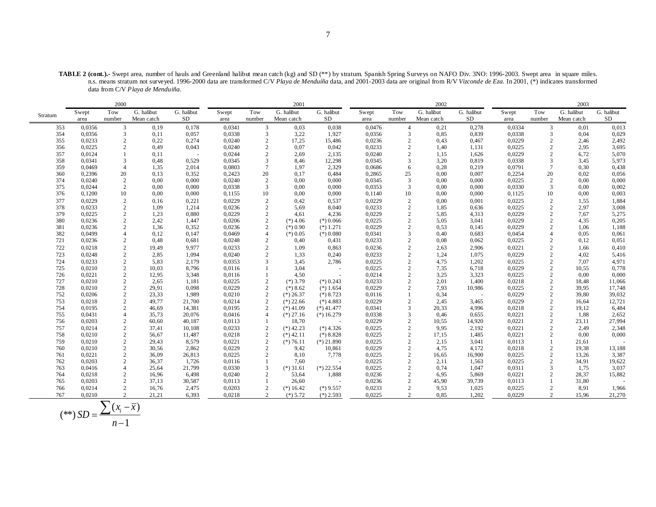**TABLE 2 (cont.).-** Swept area, number of hauls and Greenland halibut mean catch (kg) and SD (\*\*) by stratum. Spanish Spring Surveys on NAFO Div. 3NO: 1996-2003. Swept area in square miles. n.s. means stratum not surveyed. 1996-2000 data are transformed C/V *Playa de Menduíña* data, and 2001-2003 data are original from R/V *Vizconde de Eza*. In 2001, (\*) indicates transformed data from C/V *Playa de Menduiña.*

|            |                  | 2000                             |                |                 |                  |                | 2001                |                          |                  |                                  | 2002          |                 |                  |                     | 2003          |            |
|------------|------------------|----------------------------------|----------------|-----------------|------------------|----------------|---------------------|--------------------------|------------------|----------------------------------|---------------|-----------------|------------------|---------------------|---------------|------------|
|            | Swept            | Tow                              | G. halibut     | G. halibut      | Swept            | Tow            | G. halibut          | G. halibut               | Swept            | Tow                              | G. halibut    | G. halibut      | Swept            | Tow                 | G. halibut    | G. halibut |
| Stratum    | area             | number                           | Mean catch     | SD              | area             | number         | Mean catch          | <b>SD</b>                | area             | number                           | Mean catch    | SD              | area             | number              | Mean catch    | SD         |
| 353        | 0,0356           | 3                                | 0,19           | 0,178           | 0,0341           | 3              | 0,03                | 0,038                    | 0,0476           | $\overline{4}$                   | 0,21          | 0,278           | 0,0334           | 3                   | 0,01          | 0,013      |
| 354        | 0,0356           | 3                                | 0,11           | 0,057           | 0,0338           | 3              | 3,22                | 1,927                    | 0,0356           | 3                                | 0,85          | 0,839           | 0,0338           | 3                   | 0,04          | 0,029      |
| 355        | 0,0233           | $\overline{2}$                   | 0,22           | 0,274           | 0,0240           | 2              | 17,25               | 15,486                   | 0,0236           | $\overline{c}$                   | 0,43          | 0,467           | 0,0229           | 2                   | 2,46          | 2,492      |
| 356        | 0,0225           | $\overline{2}$                   | 0,49           | 0,043           | 0,0240           | $\overline{2}$ | 0.07                | 0,042                    | 0,0233           | $\overline{c}$                   | 1,40          | 1,131           | 0,0225           | $\overline{c}$      | 2,95          | 3,695      |
| 357        | 0,0124           |                                  | 0,11           | $\sim$          | 0,0244           | 2              | 2,69                | 2,135                    | 0,0240           | $\overline{2}$                   | 1,15          | 1,626           | 0,0229           | 2                   | 6,72          | 5,070      |
| 358        | 0,0341           | 3                                | 0,48           | 0.529           | 0,0345           | 3              | 8,46                | 12,298                   | 0,0345           | 3                                | 3,20          | 0,819           | 0,0338           | 3                   | 3,45          | 5,973      |
| 359        | 0,0469           | $\overline{4}$                   | 1,35           | 2,014           | 0,0803           | $\overline{7}$ | 1,97                | 2,329                    | 0,0686           | 6                                | 0,28          | 0,219           | 0,0791           | $7\phantom{.0}$     | 0,30          | 0,438      |
| 360        | 0,2396           | 20                               | 0,13           | 0,352           | 0,2423           | 20             | 0,17                | 0,484                    | 0,2865           | 25                               | 0,00          | 0,007           | 0,2254           | 20                  | 0,02          | 0,056      |
| 374        | 0,0240           | $\overline{2}$                   | 0,00           | 0,000           | 0,0240           | 2              | 0,00                | 0,000                    | 0,0345           | 3                                | 0,00          | 0.000           | 0,0225           | 2                   | 0,00          | 0,000      |
| 375        | 0,0244           | 2                                | 0,00           | 0,000           | 0,0338           | 3              | 0,00                | 0,000                    | 0,0353           | 3                                | 0,00          | 0,000           | 0,0330           | 3                   | 0,00          | 0,002      |
| 376        | 0,1200           | 10                               | 0,00           | 0,000           | 0,1155           | 10             | 0,00                | 0,000                    | 0,1140           | 10                               | 0,00          | 0,000           | 0,1125           | 10                  | 0,00          | 0,003      |
| 377        | 0,0229           | $\overline{2}$                   | 0,16           | 0,221           | 0,0229           | 2              | 0,42                | 0,537                    | 0,0229           | $\overline{c}$                   | 0,00          | 0,001           | 0,0225           | 2                   | 1,55          | 1,884      |
| 378        | 0,0233           | $\overline{2}$                   | 1,09           | 1,214           | 0.0236           | 2              | 5,69                | 8,040                    | 0,0233           | $\overline{c}$                   | 1,85          | 0.636           | 0,0225           | 2                   | 2,97          | 3,008      |
| 379        | 0,0225           | $\overline{2}$                   | 1,23           | 0,880           | 0,0229           | 2              | 4,61                | 4,236                    | 0,0229           | $\overline{2}$                   | 5,85          | 4,313           | 0,0229           | 2                   | 7,67          | 5,275      |
| 380        | 0,0236           | $\overline{2}$                   | 2,42           | 1.447           | 0,0206           | 2              | $(*)$ 4.06          | $(*)0.066$               | 0,0225           | $\overline{2}$                   | 5,05          | 3,041           | 0,0229           | 2                   | 4,35          | 0,205      |
| 381        | 0,0236           | $\overline{2}$                   | 1,36           | 0,352           | 0,0236           | 2              | $(*) 0.90$          | $(*) 1.271$              | 0,0229           | $\overline{c}$                   | 0,53          | 0,145           | 0,0229           | $\overline{2}$      | 1,06          | 1,188      |
| 382        | 0,0499           | $\overline{4}$                   | 0,12           | 0,147           | 0,0469           | $\overline{4}$ | $(*)0.05$           | $(*)0.080$               | 0,0341           | 3                                | 0,40          | 0,683           | 0,0454           | $\overline{4}$      | 0.05          | 0,061      |
| 721        | 0,0236           | 2                                | 0,48           | 0.681           | 0,0248           | 2              | 0,40                | 0,431                    | 0,0233           | $\overline{2}$                   | 0,08          | 0,062           | 0,0225           | 2                   | 0,12          | 0,051      |
| 722        | 0,0218           | $\overline{c}$                   | 19,49          | 9,977           | 0,0233           | 2              | 1,09                | 0,863                    | 0,0236           | $\overline{c}$                   | 2,63          | 2,906           | 0,0221           | $\overline{2}$      | 1,66          | 0,410      |
| 723        | 0,0248           | $\overline{2}$                   | 2,85           | 1,094           | 0,0240           | 2              | 1,33                | 0,240                    | 0,0233           | $\overline{2}$                   | 1,24          | 1,075           | 0,0229           | 2                   | 4,02          | 5,416      |
| 724        | 0,0233           | $\overline{2}$                   | 5,83           | 2,179           | 0,0353           | $\mathcal{R}$  | 3,45                | 2,786                    | 0,0225           | $\overline{c}$                   | 4,75          | 1,202           | 0,0225           | 2                   | 7,07          | 4,971      |
| 725        | 0,0210           | $\overline{2}$                   | 10,03          | 8,796           | 0,0116           |                | 3,04                | $\overline{\phantom{a}}$ | 0,0225           | $\overline{2}$                   | 7,35          | 6,718           | 0,0229           | $\overline{c}$      | 10,55         | 0,778      |
| 726        | 0,0221           | $\overline{2}$                   | 12,95          | 3,348           | 0,0116           |                | 4,50                | $\sim$                   | 0,0214           | $\overline{c}$                   | 3,25          | 3,323           | 0,0225           | 2                   | 0,00          | 0,000      |
| 727        | 0,0210           | $\overline{2}$                   | 2,65           | 1,181           | 0,0225           | 2              | $(*)$ 3.79          | $(*)$ 0.243              | 0,0233           | $\overline{c}$                   | 2,01          | 1,400           | 0,0218           | $\overline{c}$      | 18,48         | 11,066     |
| 728        | 0,0210           | $\overline{2}$                   | 29,91          | 0,098           | 0,0229           | 2              | $(*) 8.62$          | $(*)1.654$               | 0,0229           | $\overline{2}$                   | 7,93          | 10,986          | 0,0225           | $\overline{2}$      | 39,95         | 17,748     |
| 752        | 0,0206           | $\overline{2}$                   | 23,33          | 1.989           | 0,0210           | 2              | $(*) 26.37$         | $(*) 8.723$              | 0,0116           |                                  | 0,34          | $\sim$          | 0,0229           | 2                   | 39,80         | 39,032     |
| 753        | 0,0218           | $\overline{2}$                   | 49,77          | 21,700          | 0,0214           | 2              | $(*)$ 22.66         | $(*)$ 4.883              | 0,0229           | $\overline{2}$                   | 2,45          | 3,465           | 0,0229           | 2                   | 16,64         | 12,721     |
| 754        | 0,0195           | 2                                | 46,69          | 14,381          | 0,0195           | $\overline{2}$ | $(*)41.09$          | $(*)$ 41.477             | 0,0341           | 3                                | 20,33         | 4,996           | 0,0218           | $\overline{c}$      | 19,12         | 6,484      |
| 755        | 0,0431           | $\overline{4}$                   | 35,73          | 20,076          | 0,0416           | $\overline{4}$ | $(*) 27.16$         | $(*)16.279$              | 0,0338           | 3                                | 0,46          | 0,655           | 0,0221           | 2                   | 1,88          | 2,652      |
| 756        | 0,0203           | $\overline{2}$                   | 60,60          | 40,187          | 0,0113           |                | 18,70               | $\overline{\phantom{a}}$ | 0,0229           | $\overline{2}$                   | 10,55         | 14,920          | 0,0221           | 2                   | 23,11         | 27,994     |
| 757        | 0,0214           | $\overline{2}$                   | 37,41          | 10,108          | 0,0233           | $\overline{2}$ | $(*)$ 42.23         | $(*)$ 4.326              | 0,0225           | $\overline{c}$                   | 9,95          | 2,192           | 0,0221           | $\overline{2}$      | 2,49          | 2,348      |
| 758        | 0,0210           | $\overline{2}$                   | 56,67          | 11,487          | 0,0218           | 2              | $(*)$ 42.11         | $(*)8.828$               | 0,0225           | 2                                | 17,15         | 1,485           | 0,0221           | $\overline{2}$      | 0,00          | 0,000      |
| 759        | 0,0210           | $\overline{2}$                   | 29,43          | 8,579           | 0,0221           | 2              | $(*)76.11$          | $(*) 21.890$             | 0,0225           | $\overline{c}$                   | 2,15          | 3,041           | 0,0113           |                     | 21,61         |            |
| 760        | 0,0210           | 2<br>$\overline{2}$              | 30,56          | 2,862           | 0,0229           | 2              | 9,42                | 10,861                   | 0,0229           | $\overline{2}$                   | 4,75          | 4,172           | 0,0218           | 2                   | 19,38         | 13,188     |
| 761        | 0,0221           |                                  | 36,09          | 26,813          | 0,0225           | 2              | 8,10                | 7,778                    | 0,0225           | 2                                | 16,65         | 16,900          | 0,0225           | 2                   | 13,26         | 3,387      |
| 762        | 0,0203           | $\overline{2}$                   | 36,37          | 1,726           | 0,0116           | 3              | 7,60                | $\overline{\phantom{a}}$ | 0,0225           | $\overline{2}$                   | 2,11          | 1,563           | 0,0225           | $\overline{c}$<br>3 | 34,91         | 19,622     |
| 763        | 0,0416           | $\overline{4}$<br>$\overline{2}$ | 25,64          | 21,799          | 0,0330<br>0,0240 | 2              | $(*)31.61$          | $(*)$ 22.554             | 0,0225           | $\overline{2}$<br>$\overline{2}$ | 0,74          | 1,047           | 0,0311           |                     | 1,75          | 3,037      |
| 764<br>765 | 0,0218           | $\overline{2}$                   | 16,96          | 6,498           |                  |                | 53,64               | 1,888                    | 0,0236           | $\overline{c}$                   | 6,95          | 5,869           | 0,0221           |                     | 28,37         | 15,882     |
| 766        | 0,0203<br>0,0214 | $\overline{c}$                   | 37,13<br>16,76 | 30,587<br>2,475 | 0,0113<br>0,0203 | 2              | 26,60<br>$(*)16.42$ | $\sim$<br>$(*)9.557$     | 0,0236<br>0,0233 | $\overline{c}$                   | 45,90<br>9,53 | 39,739<br>1,025 | 0,0113<br>0,0225 | $\overline{c}$      | 31,80<br>8,91 | 1,966      |
|            |                  |                                  |                |                 |                  |                |                     |                          |                  |                                  |               |                 |                  |                     |               |            |
| 767        | 0.0210           | 2                                | 21,21          | 6,393           | 0,0218           | 2              | $(*) 5.72$          | $(*)$ 2.593              | 0,0225           | 2                                | 0.85          | 1,202           | 0,0229           | 2                   | 15,96         | 21,270     |

$$
(**) SD = \frac{\sum (x_i - \overline{x})}{n-1}
$$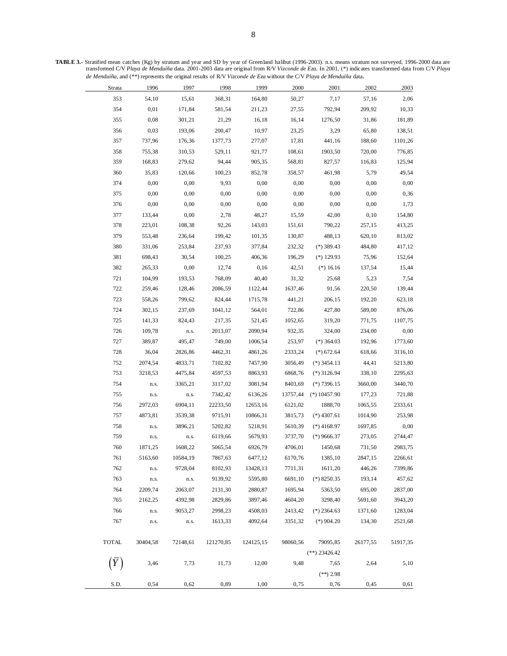**TABLE 3.-** Stratified mean catches (Kg) by stratum and year and SD by year of Greenland halibut (1996-2003). n.s. means stratum not surveyed. 1996-2000 data are transformed C/V *Playa de Menduíña* data. 2001-2003 data are original from R/V *Vizconde de Eza*. In 2001, (\*) indicates transformed data from C/V *Playa de Menduíña*, and (\*\*) represents the original results of R/V *Vizconde de Eza* without the C/V *Playa de Menduíña* data.

| Strata       | 1996     | 1997     | 1998      | 1999      | 2000     | 2001            | 2002     | 2003     |
|--------------|----------|----------|-----------|-----------|----------|-----------------|----------|----------|
| 353          | 54,10    | 15,61    | 368,31    | 164,80    | 50,27    | 7,17            | 57,16    | 2,06     |
| 354          | 0,01     | 171,84   | 581,54    | 211,23    | 27,55    | 792,94          | 209,92   | 10,33    |
| 355          | 0,08     | 301,21   | 21,29     | 16,18     | 16,14    | 1276,50         | 31,86    | 181,89   |
| 356          | 0,03     | 193,06   | 200,47    | 10,97     | 23,25    | 3,29            | 65,80    | 138,51   |
| 357          | 737,96   | 176,36   | 1377,73   | 277,07    | 17,81    | 441,16          | 188,60   | 1101,26  |
| 358          | 755,38   | 310,53   | 529,11    | 921,77    | 108,61   | 1903,50         | 720,00   | 776,85   |
| 359          | 168,83   | 279,62   | 94,44     | 905,35    | 568,81   | 827,57          | 116,83   | 125,94   |
| 360          | 35,83    | 120,66   | 100,23    | 852,78    | 358,57   | 461,98          | 5,79     | 49,54    |
| 374          | 0,00     | 0,00     | 9,93      | 0,00      | 0,00     | 0,00            | 0,00     | 0,00     |
| 375          | 0,00     | 0,00     | 0,00      | 0,00      | 0,00     | 0,00            | 0,00     | 0,36     |
| 376          | 0,00     | 0,00     | 0,00      | 0,00      | 0,00     | 0,00            | 0,00     | 1,73     |
| 377          | 133,44   | 0,00     | 2,78      | 48,27     | 15,59    | 42,00           | 0,10     | 154,80   |
| 378          | 223,01   | 108,38   | 92,26     | 143,03    | 151,61   | 790,22          | 257,15   | 413,25   |
| 379          | 553,48   | 236,64   | 199,42    | 101,35    | 130,87   | 488,13          | 620,10   | 813,02   |
| 380          | 331,06   | 253,84   | 237,93    | 377,84    | 232,32   | $(*)$ 389.43    | 484,80   | 417,12   |
| 381          | 698,43   | 30,54    | 100,25    | 406,36    | 196,29   | $(*)$ 129.93    | 75,96    | 152,64   |
| 382          | 265,33   | 0,00     | 12,74     | 0,16      | 42,51    | $(*) 16.16$     | 137,54   | 15,44    |
| 721          | 104,99   | 193,53   | 768,09    | 40,40     | 31,32    | 25,68           | 5,23     | 7,54     |
| 722          | 259,46   | 128,46   | 2086,59   | 1122,44   | 1637,46  | 91,56           | 220,50   | 139,44   |
| 723          | 558,26   | 799,62   | 824,44    | 1715,78   | 441,21   | 206,15          | 192,20   | 623,18   |
| 724          | 302,15   | 237,69   | 1041,12   | 564,01    | 722,86   | 427,80          | 589,00   | 876,06   |
| 725          | 141,33   | 824,43   | 217,35    | 521,45    | 1052,65  | 319,20          | 771,75   | 1107,75  |
| 726          | 109,78   | n.s.     | 2013,07   | 2090,94   | 932,35   | 324,00          | 234,00   | 0,00     |
| 727          | 389,87   | 495,47   | 749,00    | 1006,54   | 253,97   | $(*)$ 364.03    | 192,96   | 1773,60  |
| 728          | 36,04    | 2826,86  | 4462,31   | 4861,26   | 2333,24  | $(*) 672.64$    | 618,66   | 3116,10  |
| 752          | 2074,54  | 4833,71  | 7102,82   | 7457,90   | 3056,49  | $(*)$ 3454.13   | 44,41    | 5213,80  |
| 753          | 3218,53  | 4475,84  | 4597,53   | 8863,93   | 6868,76  | $(*)$ 3126.94   | 338,10   | 2295,63  |
| 754          | n.s.     | 3365,21  | 3117,02   | 3081,94   | 8403,69  | $(*)7396.15$    | 3660,00  | 3440,70  |
| 755          | n.s.     | n.s.     | 7342,42   | 6136,26   | 13757,44 | $(*)10457.90$   | 177,23   | 721,88   |
| 756          | 2972,03  | 6904,11  | 22233,50  | 12653,16  | 6121,02  | 1888,70         | 1065,55  | 2333,61  |
| 757          | 4873,81  | 3539,38  | 9715,91   | 10866,31  | 3815,73  | $(*)$ 4307.61   | 1014,90  | 253,98   |
| 758          | n.s.     | 3896,21  | 5202,82   | 5218,91   | 5610,39  | $(*)$ 4168.97   | 1697,85  | 0,00     |
| 759          | n.s.     | n.s.     | 6119,66   | 5679,93   | 3737,70  | $(*)$ 9666.37   | 273,05   | 2744,47  |
| 760          | 1871,25  | 1608,22  | 5065,54   | 6926,79   | 4706,01  | 1450,68         | 731,50   | 2983,75  |
| 761          | 5163,60  | 10584,19 | 7867,63   | 6477,12   | 6170,76  | 1385,10         | 2847,15  | 2266,61  |
| 762          | n.s.     | 9728,04  | 8102,93   | 13428,13  | 7711,31  | 1611,20         | 446,26   | 7399,86  |
| 763          | n.s.     | n.s.     | 9139,92   | 5595,80   | 6691,10  | $(*)$ 8250.35   | 193,14   | 457,62   |
| 764          | 2209,74  | 2063,07  | 2131,30   | 2880,87   | 1695,94  | 5363,50         | 695,00   | 2837,00  |
| 765          | 2162,25  | 4392,98  | 2829,86   | 3897,46   | 4604,20  | 3298,40         | 5691,60  | 3943,20  |
| 766          | n.s.     | 9053,27  | 2998,23   | 4508,03   | 2413,42  | $(*)$ 2364.63   | 1371,60  | 1283,04  |
| 767          | n.s.     | n.s.     | 1613,33   | 4092,64   | 3351,32  | $(*)$ 904.20    | 134,30   | 2521,68  |
|              |          |          |           |           |          |                 |          |          |
| <b>TOTAL</b> | 30404,58 | 72148,61 | 121270,85 | 124125,15 | 98060,56 | 79095,85        | 26177,55 | 51917,35 |
|              |          |          |           |           |          | $(**)$ 23426.42 |          |          |
|              | 3,46     | 7,73     | 11,73     | 12,00     | 9,48     | 7,65            | 2,64     | 5,10     |
|              |          |          |           |           |          | $(**)$ 2.98     |          |          |
| S.D.         | 0,54     | 0,62     | 0,89      | 1,00      | 0,75     | 0,76            | 0,45     | 0,61     |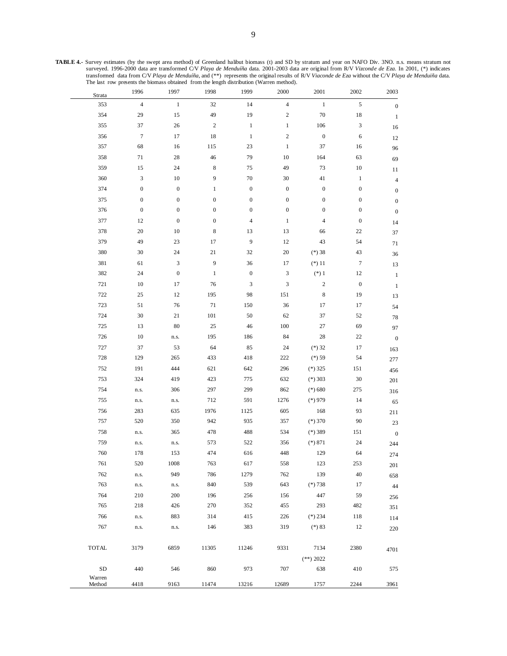**TABLE 4.-** Survey estimates (by the swept area method) of Greenland halibut biomass (t) and SD by stratum and year on NAFO Div. 3NO. n.s. means stratum not surveyed. 1996-2000 data are transformed C/V *Playa de Menduíña* data. 2001-2003 data are original from R/V *Vizconde de Eza*. In 2001, (\*) indicates transformed data from C/V *Playa de Menduíña*, and (\*\*) represents the original results of R/V *Viaconde de Eza* without the C/V *Playa de Menduiña* data. The last row presents the biomass obtained from the length distribution (Warren method).

| Strata           | 1996             | 1997             | 1998             | 1999             | 2000                        | 2001                    | 2002             | $2003\,$                 |
|------------------|------------------|------------------|------------------|------------------|-----------------------------|-------------------------|------------------|--------------------------|
| 353              | $\sqrt{4}$       | $\,1\,$          | $32\,$           | $14\,$           | $\overline{4}$              | $\,1\,$                 | $\mathfrak s$    | $\boldsymbol{0}$         |
| 354              | 29               | 15               | 49               | 19               | $\overline{c}$              | $70\,$                  | $18\,$           | $\mathbf{1}$             |
| 355              | 37               | 26               | $\sqrt{2}$       | $\,1$            | $\mathbf{1}$                | 106                     | 3                | 16                       |
| 356              | $\boldsymbol{7}$ | 17               | 18               | $\,1$            | $\mathbf{2}$                | $\boldsymbol{0}$        | 6                | 12                       |
| 357              | 68               | 16               | 115              | 23               | $\,1$                       | 37                      | 16               | 96                       |
| 358              | $71\,$           | $28\,$           | 46               | 79               | $10\,$                      | 164                     | 63               | 69                       |
| 359              | 15               | 24               | $\,$ 8 $\,$      | 75               | 49                          | 73                      | $10\,$           | 11                       |
| 360              | 3                | $10\,$           | 9                | 70               | 30                          | $41\,$                  | $\mathbf{1}$     | $\overline{\mathcal{L}}$ |
| 374              | $\boldsymbol{0}$ | $\boldsymbol{0}$ | $\mathbf{1}$     | $\boldsymbol{0}$ | $\boldsymbol{0}$            | $\boldsymbol{0}$        | $\boldsymbol{0}$ | $\boldsymbol{0}$         |
| 375              | $\boldsymbol{0}$ | $\boldsymbol{0}$ | $\boldsymbol{0}$ | $\boldsymbol{0}$ | $\boldsymbol{0}$            | $\boldsymbol{0}$        | $\boldsymbol{0}$ | $\boldsymbol{0}$         |
| 376              | $\boldsymbol{0}$ | $\boldsymbol{0}$ | $\boldsymbol{0}$ | $\boldsymbol{0}$ | $\boldsymbol{0}$            | $\boldsymbol{0}$        | $\boldsymbol{0}$ | $\boldsymbol{0}$         |
| 377              | 12               | $\boldsymbol{0}$ | $\boldsymbol{0}$ | $\overline{4}$   | $\,1$                       | $\overline{\mathbf{4}}$ | $\boldsymbol{0}$ | 14                       |
| 378              | 20               | $10\,$           | $\,$ 8 $\,$      | 13               | 13                          | 66                      | $22\,$           | 37                       |
| 379              | 49               | $23\,$           | 17               | $\boldsymbol{9}$ | $12\,$                      | 43                      | 54               | $71\,$                   |
| 380              | 30               | 24               | 21               | 32               | $20\,$                      | $(*)38$                 | 43               | $36\,$                   |
| 381              | 61               | 3                | 9                | 36               | 17                          | $(*)11$                 | $\boldsymbol{7}$ | 13                       |
| 382              | 24               | $\boldsymbol{0}$ | $\mathbf{1}$     | $\boldsymbol{0}$ | $\ensuremath{\mathfrak{Z}}$ | $(\ast)$ 1              | 12               | $\,1\,$                  |
| 721              | $10\,$           | 17               | 76               | 3                | 3                           | $\sqrt{2}$              | $\boldsymbol{0}$ | $\mathbf{1}$             |
| 722              | 25               | 12               | 195              | 98               | 151                         | $\,$ 8 $\,$             | 19               | 13                       |
| 723              | 51               | 76               | 71               | 150              | 36                          | 17                      | 17               | 54                       |
| 724              | $30\,$           | 21               | 101              | 50               | 62                          | 37                      | 52               | $78\,$                   |
| 725              | 13               | 80               | $25\,$           | 46               | 100                         | 27                      | 69               | 97                       |
| 726              | $10\,$           | n.s.             | 195              | 186              | 84                          | 28                      | $22\,$           | $\boldsymbol{0}$         |
| 727              | 37               | 53               | 64               | 85               | 24                          | $(*)32$                 | $17\,$           | 163                      |
| 728              | 129              | 265              | 433              | 418              | 222                         | $(*) 59$                | 54               | 277                      |
| 752              | 191              | 444              | 621              | 642              | 296                         | $(*)325$                | 151              | 456                      |
| 753              | 324              | 419              | 423              | 775              | 632                         | $(*)$ 303               | $30\,$           | 201                      |
| 754              | n.s.             | 306              | 297              | 299              | 862                         | $(*) 680$               | 275              | 316                      |
| 755              | n.s.             | n.s.             | 712              | 591              | 1276                        | $(*)$ 979               | 14               | 65                       |
| 756              | 283              | 635              | 1976             | 1125             | 605                         | 168                     | 93               | 211                      |
| 757              | 520              | 350              | 942              | 935              | 357                         | $(*)370$                | $90\,$           | $23\,$                   |
| 758              | n.s.             | 365              | 478              | 488              | 534                         | $(*)$ 389               | 151              | $\boldsymbol{0}$         |
| 759              | n.s.             | n.s.             | 573              | 522              | 356                         | $(*) 871$               | $24\,$           | 244                      |
| 760              | 178              | 153              | 474              | 616              | 448                         | 129                     | 64               | 274                      |
| 761              | 520              | 1008             | 763              | 617              | 558                         | 123                     | 253              | 201                      |
| 762              | n.s.             | 949              | 786              | 1279             | 762                         | 139                     | 40               | 658                      |
| 763              | n.s.             | n.s.             | 840              | 539              | 643                         | $(*)738$                | 17               | $44\,$                   |
| 764              | 210              | 200              | 196              | 256              | 156                         | 447                     | 59               | 256                      |
| 765              | 218              | 426              | 270              | 352              | 455                         | 293                     | 482              | 351                      |
| 766              | n.s.             | 883              | 314              | 415              | 226                         | $(*) 234$               | 118              | 114                      |
| 767              | n.s.             | n.s.             | 146              | 383              | 319                         | $(*) 83$                | 12               | 220                      |
|                  |                  |                  |                  |                  |                             |                         |                  |                          |
| <b>TOTAL</b>     | 3179             | 6859             | 11305            | 11246            | 9331                        | 7134                    | 2380             | 4701                     |
|                  |                  |                  |                  |                  |                             | $(**) 2022$             |                  |                          |
| <b>SD</b>        | 440              | 546              | 860              | 973              | 707                         | 638                     | 410              | 575                      |
| Warren<br>Method | 4418             | 9163             | 11474            | 13216            | 12689                       | 1757                    | 2244             | 3961                     |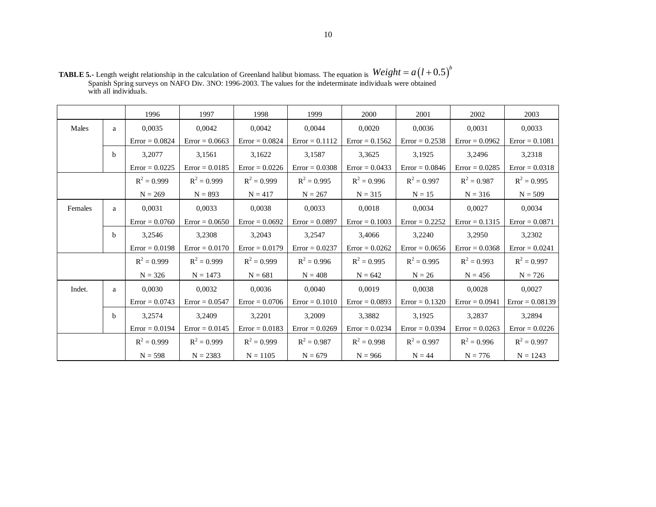|         |              | 1996             | 1997             | 1998             | 1999             | 2000             | 2001             | 2002             | 2003              |
|---------|--------------|------------------|------------------|------------------|------------------|------------------|------------------|------------------|-------------------|
| Males   | a            | 0.0035           | 0.0042           | 0.0042           | 0.0044           | 0.0020           | 0.0036           | 0,0031           | 0,0033            |
|         |              | $Error = 0.0824$ | $Error = 0.0663$ | $Error = 0.0824$ | $Error = 0.1112$ | $Error = 0.1562$ | $Error = 0.2538$ | $Error = 0.0962$ | $Error = 0.1081$  |
|         | b            | 3,2077           | 3,1561           | 3,1622           | 3,1587           | 3,3625           | 3,1925           | 3,2496           | 3,2318            |
|         |              | $Error = 0.0225$ | $Error = 0.0185$ | $Error = 0.0226$ | $Error = 0.0308$ | $Error = 0.0433$ | $Error = 0.0846$ | $Error = 0.0285$ | $Error = 0.0318$  |
|         |              | $R^2 = 0.999$    | $R^2 = 0.999$    | $R^2 = 0.999$    | $R^2 = 0.995$    | $R^2 = 0.996$    | $R^2 = 0.997$    | $R^2 = 0.987$    | $R^2 = 0.995$     |
|         |              | $N = 269$        | $N = 893$        | $N = 417$        | $N = 267$        | $N = 315$        | $N = 15$         | $N = 316$        | $N = 509$         |
| Females | a            | 0.0031           | 0.0033           | 0.0038           | 0.0033           | 0.0018           | 0.0034           | 0.0027           | 0.0034            |
|         |              | $Error = 0.0760$ | $Error = 0.0650$ | $Error = 0.0692$ | $Error = 0.0897$ | $Error = 0.1003$ | $Error = 0.2252$ | $Error = 0.1315$ | $Error = 0.0871$  |
|         | <sub>b</sub> | 3,2546           | 3,2308           | 3,2043           | 3,2547           | 3,4066           | 3,2240           | 3,2950           | 3,2302            |
|         |              | $Error = 0.0198$ | $Error = 0.0170$ | $Error = 0.0179$ | $Error = 0.0237$ | $Error = 0.0262$ | $Error = 0.0656$ | $Error = 0.0368$ | $Error = 0.0241$  |
|         |              | $R^2 = 0.999$    | $R^2 = 0.999$    | $R^2 = 0.999$    | $R^2 = 0.996$    | $R^2 = 0.995$    | $R^2 = 0.995$    | $R^2 = 0.993$    | $R^2 = 0.997$     |
|         |              | $N = 326$        | $N = 1473$       | $N = 681$        | $N = 408$        | $N = 642$        | $N = 26$         | $N = 456$        | $N = 726$         |
| Indet.  | a            | 0.0030           | 0.0032           | 0.0036           | 0.0040           | 0.0019           | 0.0038           | 0,0028           | 0,0027            |
|         |              | $Error = 0.0743$ | $Error = 0.0547$ | $Error = 0.0706$ | $Error = 0.1010$ | $Error = 0.0893$ | $Error = 0.1320$ | $Error = 0.0941$ | $Error = 0.08139$ |
|         | b            | 3,2574           | 3,2409           | 3,2201           | 3,2009           | 3,3882           | 3,1925           | 3,2837           | 3,2894            |
|         |              | $Error = 0.0194$ | $Error = 0.0145$ | $Error = 0.0183$ | $Error = 0.0269$ | $Error = 0.0234$ | $Error = 0.0394$ | $Error = 0.0263$ | $Error = 0.0226$  |
|         |              | $R^2 = 0.999$    | $R^2 = 0.999$    | $R^2 = 0.999$    | $R^2 = 0.987$    | $R^2 = 0.998$    | $R^2 = 0.997$    | $R^2 = 0.996$    | $R^2 = 0.997$     |
|         |              | $N = 598$        | $N = 2383$       | $N = 1105$       | $N = 679$        | $N = 966$        | $N = 44$         | $N = 776$        | $N = 1243$        |

**TABLE 5.-** Length weight relationship in the calculation of Greenland halibut biomass. The equation is Spanish Spring surveys on NAFO Div. 3NO: 1996-2003. The values for the indeterminate individuals were obtained with all individuals.  $Weight = a(l+0.5)^b$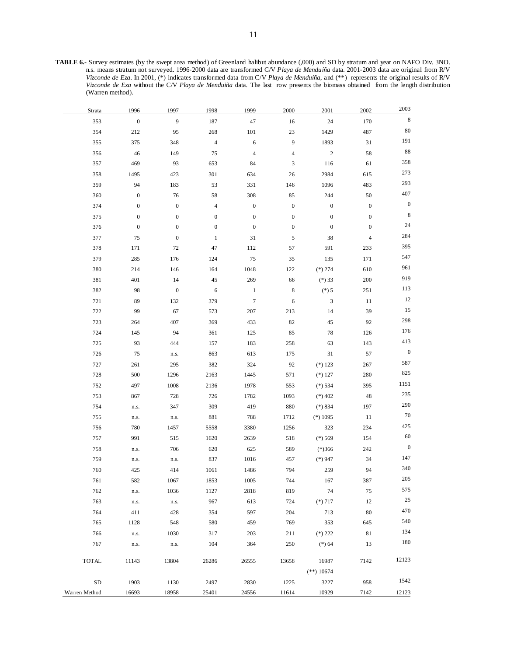**TABLE 6.-** Survey estimates (by the swept area method) of Greenland halibut abundance (,000) and SD by stratum and year on NAFO Div. 3NO. n.s. means stratum not surveyed. 1996-2000 data are transformed C/V *Playa de Menduíña* data. 2001-2003 data are original from R/V *Vizconde de Eza*. In 2001, (\*) indicates transformed data from C/V *Playa de Menduíña*, and (\*\*) represents the original results of R/V *Vizconde de Eza* without the C/V *Playa de Menduiña* data. The last row presents the biomass obtained from the length distribution (Warren method).

| Strata        | 1996             | 1997             | 1998             | 1999             | 2000             | 2001             | 2002                     | 2003             |
|---------------|------------------|------------------|------------------|------------------|------------------|------------------|--------------------------|------------------|
| 353           | $\boldsymbol{0}$ | 9                | 187              | 47               | $16\,$           | $24\,$           | 170                      | $\,$ 8 $\,$      |
| 354           | 212              | 95               | 268              | $101\,$          | $23\,$           | 1429             | 487                      | 80               |
| 355           | 375              | 348              | $\overline{4}$   | 6                | 9                | 1893             | 31                       | 191              |
| 356           | $46$             | 149              | 75               | $\overline{4}$   | 4                | $\sqrt{2}$       | 58                       | $\bf 88$         |
| 357           | 469              | 93               | 653              | 84               | 3                | 116              | 61                       | 358              |
| 358           | 1495             | 423              | 301              | 634              | 26               | 2984             | 615                      | 273              |
| 359           | 94               | 183              | 53               | 331              | 146              | 1096             | 483                      | 293              |
| 360           | $\boldsymbol{0}$ | 76               | 58               | 308              | 85               | 244              | 50                       | 407              |
| 374           | $\boldsymbol{0}$ | $\boldsymbol{0}$ | $\overline{4}$   | $\boldsymbol{0}$ | $\boldsymbol{0}$ | $\boldsymbol{0}$ | $\boldsymbol{0}$         | $\boldsymbol{0}$ |
| 375           | $\boldsymbol{0}$ | $\boldsymbol{0}$ | $\boldsymbol{0}$ | $\boldsymbol{0}$ | $\boldsymbol{0}$ | $\boldsymbol{0}$ | $\boldsymbol{0}$         | $\,8\,$          |
| 376           | $\boldsymbol{0}$ | $\boldsymbol{0}$ | $\boldsymbol{0}$ | $\boldsymbol{0}$ | $\boldsymbol{0}$ | $\boldsymbol{0}$ | $\boldsymbol{0}$         | 24               |
| 377           | 75               | $\boldsymbol{0}$ | $\mathbf{1}$     | 31               | 5                | 38               | $\overline{\mathcal{L}}$ | 284              |
| 378           | 171              | 72               | 47               | 112              | 57               | 591              | 233                      | 395              |
| 379           | 285              | 176              | 124              | $75\,$           | 35               | 135              | 171                      | 547              |
| 380           | 214              | 146              | 164              | 1048             | 122              | $(*) 274$        | 610                      | 961              |
| 381           | 401              | 14               | $45\,$           | 269              | 66               | $(*)33$          | 200                      | 919              |
| 382           | 98               | $\boldsymbol{0}$ | $\sqrt{6}$       | $\,1$            | 8                | $(*) 5$          | 251                      | 113              |
| 721           | 89               | 132              | 379              | $\boldsymbol{7}$ | 6                | $\sqrt{3}$       | 11                       | 12               |
| 722           | 99               | 67               | 573              | $207\,$          | 213              | 14               | 39                       | 15               |
| 723           | 264              | 407              | 369              | 433              | 82               | 45               | 92                       | 298              |
| 724           | 145              | 94               | 361              | 125              | 85               | 78               | 126                      | 176              |
| 725           | 93               | 444              | 157              | 183              | 258              | 63               | 143                      | 413              |
| 726           | 75               | n.s.             | 863              | 613              | 175              | 31               | 57                       | $\boldsymbol{0}$ |
| 727           | 261              | 295              | 382              | 324              | 92               | $(*) 123$        | 267                      | 587              |
| 728           | 500              | 1296             | 2163             | 1445             | 571              | $(*) 127$        | 280                      | 825              |
| 752           | 497              | 1008             | 2136             | 1978             | 553              | $(*) 534$        | 395                      | 1151             |
| 753           | 867              | 728              | 726              | 1782             | 1093             | $(*) 402$        | $48\,$                   | 235              |
| 754           | n.s.             | 347              | 309              | 419              | 880              | $(*) 834$        | 197                      | 290              |
| 755           | n.s.             | n.s.             | 881              | 788              | 1712             | $(*) 1095$       | $11\,$                   | $70\,$           |
| 756           | 780              | 1457             | 5558             | 3380             | 1256             | 323              | 234                      | 425              |
| 757           | 991              | 515              | 1620             | 2639             | 518              | $(*) 569$        | 154                      | 60               |
| 758           | n.s.             | 706              | 620              | 625              | 589              | $(*)366$         | 242                      | $\boldsymbol{0}$ |
| 759           | n.s.             | n.s.             | 837              | 1016             | 457              | $(*)947$         | 34                       | 147              |
| 760           | 425              | 414              | 1061             | 1486             | 794              | 259              | 94                       | 340              |
| 761           | 582              | 1067             | 1853             | 1005             | 744              | 167              | 387                      | $205\,$          |
| 762           | n.s.             | 1036             | 1127             | 2818             | 819              | 74               | 75                       | 575              |
| 763           | n.s.             | n.s.             | 967              | 613              | 724              | $(*)717$         | 12                       | $25\,$           |
| 764           | 411              | 428              | 354              | 597              | 204              | 713              | 80                       | 470              |
| 765           | 1128             | 548              | 580              | 459              | 769              | 353              | 645                      | 540              |
| 766           | n.s.             | 1030             | 317              | 203              | 211              | $(*) 222$        | 81                       | 134              |
| 767           | n.s.             | n.s.             | 104              | 364              | 250              | $(*) 64$         | 13                       | 180              |
| <b>TOTAL</b>  | 11143            | 13804            | 26286            | 26555            | 13658            | 16987            | 7142                     | 12123            |
|               |                  |                  |                  |                  |                  | $(**) 10674$     |                          |                  |
| SD            | 1903             | 1130             | 2497             | 2830             | 1225             | 3227             | 958                      | 1542             |
| Warren Method | 16693            | 18958            | 25401            | 24556            | 11614            | 10929            | 7142                     | 12123            |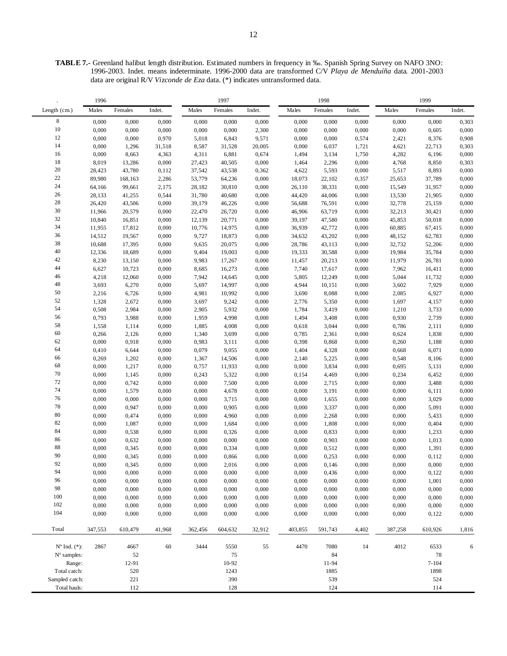**TABLE 7.-** Greenland halibut length distribution. Estimated numbers in frequency in ‰. Spanish Spring Survey on NAFO 3NO: 1996-2003. Indet. means indeterminate. 1996-2000 data are transformed C/V *Playa de Menduíña* data. 2001-2003 data are original R/V *Vizconde de Eza* data. (\*) indicates untransformed data.

|                         | 1996    |         |        |         | 1997    |        |         | 1998     |        | 1999    |           |        |  |
|-------------------------|---------|---------|--------|---------|---------|--------|---------|----------|--------|---------|-----------|--------|--|
| Length (cm.)            | Males   | Females | Indet. | Males   | Females | Indet. | Males   | Females  | Indet. | Males   | Females   | Indet. |  |
| $\,8\,$                 | 0,000   | 0,000   | 0,000  | 0,000   | 0,000   | 0,000  | 0,000   | 0,000    | 0,000  | 0,000   | 0,000     | 0,303  |  |
| $10\,$                  | 0,000   | 0,000   | 0,000  | 0,000   | 0,000   | 2,300  | 0,000   | 0,000    | 0,000  | 0,000   | 0,605     | 0,000  |  |
| 12                      | 0,000   | 0,000   | 0,970  | 5,018   | 6,843   | 9,571  | 0,000   | 0,000    | 0,574  | 2,421   | 8,376     | 0,908  |  |
| 14                      | 0,000   | 1,296   | 31,518 | 8,587   | 31,528  | 20,005 | 0,000   | 6,037    | 1,721  | 4,621   | 22,713    | 0,303  |  |
| 16                      | 0,000   | 8,663   | 4,363  | 4,311   | 6,881   | 0,674  | 1,494   | 3,134    | 1,750  | 4,282   | 6,196     | 0,000  |  |
| 18                      | 8,019   | 13,286  | 0,000  | 27,423  | 40,505  | 0,000  | 1,464   | 2,296    | 0,000  | 4,768   | 8,850     | 0,303  |  |
| $20\,$                  | 28,423  | 43,780  | 0,112  | 37,542  | 43,538  | 0,362  | 4,622   | 5,593    | 0,000  | 5,517   | 8,893     | 0,000  |  |
| $22\,$                  | 89,980  | 168,163 | 2,286  | 53,779  | 64,236  | 0,000  | 18,073  | 22,102   | 0,357  | 25,653  | 37,789    | 0,000  |  |
| $24\,$                  | 64,166  | 99,661  | 2,175  | 28,182  | 30,810  | 0,000  | 26,110  | 38,331   | 0,000  | 15,549  | 31,957    | 0,000  |  |
| $26\,$                  | 28,133  | 41,255  | 0,544  | 31,780  | 40,680  | 0,000  | 44,420  | 44,006   | 0,000  | 13,530  | 21,905    | 0,000  |  |
| $28\,$                  | 26,420  | 43,506  | 0,000  | 39,179  | 46,226  | 0,000  | 56,688  | 76,591   | 0,000  | 32,778  | 25,159    | 0,000  |  |
| $30\,$                  | 11,966  | 20,579  | 0,000  | 22,470  | 26,720  | 0,000  | 46,906  | 63,719   | 0,000  | 32,213  | 30,421    | 0,000  |  |
| 32                      | 10,840  | 16,851  | 0,000  | 12,139  | 20,771  | 0,000  | 39,197  | 47,580   | 0,000  | 45,853  | 50,018    | 0,000  |  |
| 34                      | 11,955  | 17,812  | 0,000  | 10,776  | 14,975  | 0,000  | 36,939  | 42,772   | 0,000  | 60,885  | 67,415    | 0,000  |  |
| 36                      | 14,512  | 19,567  | 0,000  | 9,727   | 18,873  | 0,000  | 34,632  | 43,202   | 0,000  | 48,152  | 62,783    | 0,000  |  |
| 38                      | 10,688  | 17,395  | 0,000  | 9,635   | 20,075  | 0,000  | 28,786  | 43,113   | 0,000  | 32,732  | 52,206    | 0,000  |  |
| 40                      | 12,336  | 18,689  | 0,000  | 9,404   | 19,003  | 0,000  | 19,333  | 30,588   | 0,000  | 19,984  | 35,784    | 0,000  |  |
| 42                      | 8,230   | 13,150  | 0,000  | 9,983   | 17,267  | 0,000  | 11,457  | 20,213   | 0,000  | 11,979  | 26,781    | 0,000  |  |
| 44                      | 6,627   | 10,723  | 0,000  | 8,685   | 16,273  | 0,000  | 7,740   | 17,617   | 0,000  | 7,962   | 16,411    | 0,000  |  |
| 46                      | 4,218   | 12,060  | 0,000  | 7,942   | 14,645  | 0,000  | 5,805   | 12,249   | 0,000  | 5,044   | 11,732    | 0,000  |  |
| $\sqrt{48}$             | 3,693   | 6,270   | 0,000  | 5,697   | 14,997  | 0,000  | 4,944   | 10,151   | 0,000  | 3,602   | 7,929     | 0,000  |  |
| 50                      | 2,216   | 6,726   | 0,000  | 4,981   | 10,992  | 0,000  | 3,690   | 8,088    | 0,000  | 2,085   | 6,927     | 0,000  |  |
| 52                      | 1,328   | 2,672   | 0,000  | 3,697   | 9,242   | 0,000  | 2,776   | 5,350    | 0,000  | 1,697   | 4,157     | 0,000  |  |
| 54                      | 0,508   | 2,984   | 0,000  | 2,905   | 5,932   | 0,000  | 1,784   | 3,419    | 0,000  | 1,210   | 3,733     | 0,000  |  |
| 56                      | 0,793   | 3,988   | 0,000  | 1,959   | 4,998   | 0,000  | 1,494   | 3,408    | 0,000  | 0,930   | 2,739     | 0,000  |  |
| 58                      | 1,558   | 1,114   | 0,000  | 1,885   | 4,008   | 0,000  | 0,618   | 3,044    | 0,000  | 0,786   | 2,111     | 0,000  |  |
| 60                      | 0,266   | 2,126   | 0,000  | 1,340   | 3,699   | 0,000  | 0,785   | 2,361    | 0,000  | 0,624   | 1,838     | 0,000  |  |
| 62                      | 0,000   | 0,918   | 0,000  | 0,983   | 3,111   | 0,000  | 0,398   | 0,868    | 0,000  | 0,260   | 1,188     | 0,000  |  |
| 64                      | 0,410   | 6,644   | 0,000  | 0,079   | 9,055   | 0,000  | 1,404   | 4,328    | 0,000  | 0,668   | 6,071     | 0,000  |  |
| 66                      | 0,269   | 1,202   | 0,000  | 1,367   | 14,506  | 0,000  | 2,140   | 5,225    | 0,000  | 0,548   | 8,106     | 0,000  |  |
| 68                      | 0,000   | 1,217   | 0,000  | 0,757   | 11,933  | 0,000  | 0,000   | 3,834    | 0,000  | 0,695   | 5,131     | 0,000  |  |
| $70\,$                  | 0,000   | 1,145   | 0,000  | 0,243   | 5,322   | 0,000  | 0,154   | 4,469    | 0,000  | 0,234   | 6,452     | 0,000  |  |
| $72\,$                  | 0,000   | 0,742   | 0,000  | 0,000   | 7,500   | 0,000  | 0,000   | 2,715    | 0,000  | 0,000   | 3,488     | 0,000  |  |
| 74                      | 0,000   | 1,579   | 0,000  | 0,000   | 4,678   | 0,000  | 0,000   | 3,191    | 0,000  | 0,000   | 6,111     | 0,000  |  |
| 76                      | 0,000   | 0,000   | 0,000  | 0,000   | 3,715   | 0,000  | 0,000   | 1,655    | 0,000  | 0,000   | 3,029     | 0,000  |  |
| $78\,$                  | 0,000   | 0,947   | 0,000  | 0,000   | 0,905   | 0,000  | 0,000   | 3,337    | 0,000  | 0,000   | 5,091     | 0,000  |  |
| $80\,$                  | 0,000   | 0,474   | 0,000  | 0,000   | 4,960   | 0,000  | 0,000   | 2,268    | 0,000  | 0,000   | 5,433     | 0,000  |  |
| 82                      | 0,000   | 1,087   | 0,000  | 0,000   | 1,684   | 0,000  | 0,000   | 1,808    | 0,000  | 0,000   | 0,404     | 0,000  |  |
| 84                      | 0,000   | 0,538   | 0,000  | 0,000   | 0,326   | 0,000  | 0,000   | 0,833    | 0,000  | 0,000   | 1,233     | 0,000  |  |
| 86                      | 0,000   | 0,632   | 0,000  | 0,000   | 0,000   | 0,000  | 0,000   | 0,903    | 0,000  | 0,000   | 1,013     | 0,000  |  |
| $\bf 88$                | 0,000   | 0,345   | 0,000  | 0,000   | 0,334   | 0,000  | 0,000   | 0,512    | 0,000  | 0,000   | 1,391     | 0,000  |  |
| 90                      | 0,000   | 0,345   | 0,000  | 0,000   | 0,866   | 0,000  | 0,000   | 0,253    | 0,000  | 0,000   | 0,112     | 0,000  |  |
| 92                      | 0,000   | 0,345   | 0,000  | 0,000   | 2,016   | 0,000  | 0,000   | 0,146    | 0,000  | 0,000   | 0,000     | 0,000  |  |
| 94                      | 0,000   | 0,000   | 0,000  | 0,000   | 0,000   | 0,000  | 0,000   | 0,436    | 0,000  | 0,000   | 0,122     | 0,000  |  |
| 96                      | 0,000   | 0,000   | 0,000  | 0,000   | 0,000   | 0,000  | 0,000   | 0,000    | 0,000  | 0,000   | 1,001     | 0,000  |  |
| 98                      | 0,000   | 0,000   | 0,000  | 0,000   | 0,000   | 0,000  | 0,000   | 0,000    | 0,000  | 0,000   | 0,000     | 0,000  |  |
| 100                     | 0,000   | 0,000   | 0,000  | 0,000   | 0,000   | 0,000  | 0,000   | 0,000    | 0,000  | 0,000   | 0,000     | 0,000  |  |
| 102                     | 0,000   | 0,000   | 0,000  | 0,000   | 0,000   | 0,000  | 0,000   | 0,000    | 0,000  | 0,000   | 0,000     | 0,000  |  |
| 104                     | 0,000   | 0,000   | 0,000  | 0,000   | 0,000   | 0,000  | 0,000   | 0,000    | 0,000  | 0,000   | 0,122     | 0,000  |  |
| Total                   | 347,553 | 610,479 | 41,968 | 362,456 | 604,632 | 32,912 | 403,855 | 591,743  | 4,402  | 387,258 | 610,926   | 1,816  |  |
| $N^{\circ}$ Ind. $(*):$ | 2867    | 4667    | $60\,$ | 3444    | 5550    | 55     | 4470    | 7080     | 14     | 4012    | 6533      | 6      |  |
| N° samples:             |         | 52      |        |         | $75\,$  |        |         | $\bf 84$ |        |         | 78        |        |  |
| Range:                  |         | 12-91   |        |         | 10-92   |        |         | 11-94    |        |         | $7 - 104$ |        |  |
| Total catch:            |         | 520     |        |         | 1243    |        |         | 1885     |        |         | 1898      |        |  |
| Sampled catch:          |         | 221     |        |         | 390     |        |         | 539      |        |         | 524       |        |  |
| Total hauls:            |         | 112     |        |         | 128     |        |         | 124      |        |         | 114       |        |  |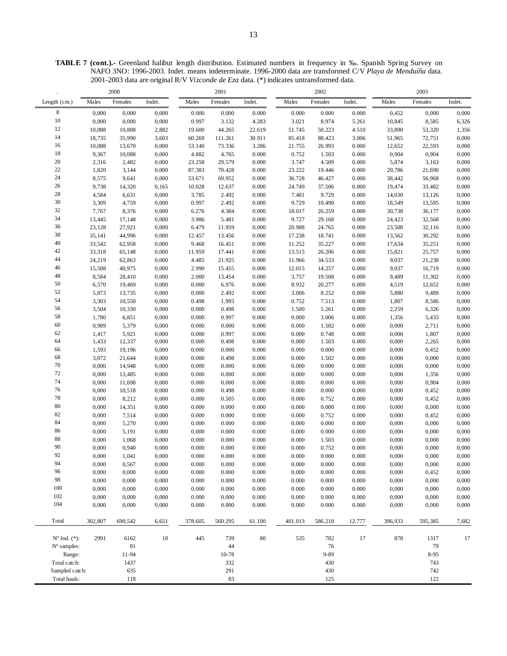**TABLE 7 (cont.).-** Greenland halibut length distribution. Estimated numbers in frequency in ‰. Spanish Spring Survey on NAFO 3NO: 1996-2003. Indet. means indeterminate. 1996-2000 data are transformed C/V *Playa de Menduíña* data. 2001-2003 data are original R/V *Vizconde de Eza* data. (\*) indicates untransformed data.

| Males<br>Females<br>Males<br>Females<br>Males<br>Females<br>Females<br>Length (cm.)<br>Indet.<br>Indet.<br>Indet.<br>Males<br>Indet.<br>$\,$ 8 $\,$<br>0,000<br>0,000<br>0.000<br>0.000<br>0,000<br>0.000<br>0.000<br>0.000<br>0.000<br>0,452<br>0,000<br>0,000<br>$10\,$<br>0,000<br>3.021<br>0,000<br>0,000<br>0.997<br>3.132<br>4.283<br>8.974<br>5.261<br>10,845<br>8,585<br>6,326<br>$12\,$<br>10,088<br>2,882<br>44.265<br>22.619<br>51.745<br>4.510<br>33,890<br>10,808<br>19.600<br>50.223<br>53,320<br>1,356<br>14<br>18,735<br>35,990<br>3,603<br>60.269<br>111.261<br>30.911<br>85.418<br>88.423<br>3.006<br>51,965<br>72,751<br>0,000<br>16<br>10,088<br>0,000<br>53.140<br>3.286<br>21.755<br>0.000<br>12,652<br>0,000<br>13,670<br>73.336<br>26.993<br>22,593<br>$18\,$<br>0.000<br>0.752<br>9,367<br>10,088<br>0,000<br>4.882<br>4.765<br>1.503<br>0.000<br>0,904<br>0,904<br>0,000<br>$20\,$<br>3.747<br>0,000<br>2,316<br>2,482<br>0,000<br>23.258<br>29.579<br>0.000<br>4.509<br>0.000<br>5,874<br>3,163<br>$22\,$<br>23.222<br>1,820<br>3,144<br>0,000<br>87.383<br>70.428<br>0.000<br>19.446<br>0.000<br>20,786<br>21,690<br>0,000<br>24<br>8,575<br>9,641<br>0,000<br>53.671<br>69.952<br>0.000<br>36.728<br>0.000<br>38,442<br>0,000<br>46.427<br>56,968<br>$26\,$<br>9,738<br>10.028<br>0.000<br>24.749<br>0.000<br>0,000<br>14,320<br>0,165<br>12.637<br>37.506<br>19,474<br>33,482<br>$28\,$<br>4,584<br>7.481<br>6,631<br>0,000<br>3.785<br>2.492<br>0.000<br>9.729<br>0.000<br>14,030<br>13,126<br>0,000<br>30<br>3,309<br>4,759<br>0,000<br>0.997<br>2.492<br>0.000<br>9.729<br>0.000<br>18,549<br>0,000<br>10.490<br>13,595<br>$32\,$<br>4.384<br>7,767<br>8,376<br>0,000<br>6.276<br>0.000<br>18.017<br>26.259<br>0.000<br>30,738<br>0,000<br>36,177<br>34<br>13,445<br>3.986<br>5.481<br>0.000<br>9.727<br>24,423<br>0,000<br>17,148<br>0,000<br>29.168<br>0.000<br>32,568<br>36<br>23,128<br>27,921<br>0,000<br>6.479<br>11.959<br>0.000<br>20.988<br>0.000<br>23,508<br>32,116<br>0,000<br>24.765<br>38<br>35,141<br>13.456<br>0.000<br>17.238<br>18.741<br>0.000<br>13,562<br>30,292<br>0,000<br>44,996<br>0,000<br>12.457<br>$40\,$<br>33,542<br>0,000<br>9.468<br>0.000<br>11.252<br>35.227<br>0.000<br>0,000<br>62,958<br>16.451<br>17,634<br>35,251<br>$42\,$<br>33,318<br>13.515<br>0,000<br>65,148<br>0,000<br>11.959<br>17.441<br>0.000<br>26.206<br>0.000<br>15,821<br>25,757<br>44<br>24,219<br>62,863<br>0,000<br>4.485<br>21.925<br>0.000<br>0.000<br>9,037<br>21,238<br>0,000<br>11.966<br>34.533<br>$46\,$<br>0,000<br>15,508<br>40,975<br>0,000<br>2.990<br>15.455<br>0.000<br>12.015<br>14.257<br>0.000<br>9,037<br>16,719<br>$48\,$<br>8,584<br>0,000<br>0.000<br>3.757<br>0,000<br>28,410<br>2.000<br>13.454<br>19.508<br>0.000<br>9,489<br>11,302<br>$50\,$<br>8.932<br>6,570<br>0,000<br>0.000<br>6.976<br>0.000<br>20.277<br>0.000<br>4,519<br>0,000<br>19,469<br>12,652<br>52<br>0,000<br>5,873<br>0,000<br>2.492<br>0.000<br>3.006<br>8.252<br>0.000<br>9,489<br>13,735<br>0.000<br>5,880<br>54<br>3,303<br>0,000<br>0,000<br>1.993<br>0.000<br>0.752<br>7.513<br>0.000<br>1,807<br>10,550<br>0.498<br>8,586<br>56<br>3,504<br>0.498<br>1.500<br>0,000<br>10,330<br>0,000<br>0.000<br>0.000<br>5.261<br>0.000<br>2,259<br>6,326<br>58<br>1,780<br>0,000<br>0.000<br>0.997<br>0.000<br>0.000<br>3.006<br>0.000<br>0,000<br>6,851<br>1,356<br>5,433<br>$60\,$<br>0,989<br>5,379<br>0,000<br>0.000<br>0.000<br>0.000<br>1.502<br>0.000<br>0,000<br>0,000<br>0.000<br>2,711<br>62<br>1,417<br>5,921<br>0,000<br>0.997<br>0.000<br>0.000<br>0,000<br>0.000<br>0.748<br>0.000<br>0,000<br>1,807<br>64<br>1,433<br>12,337<br>0,000<br>0.000<br>0.498<br>0.000<br>0.000<br>1.503<br>0.000<br>0,000<br>0,000<br>2,265<br>66<br>1,593<br>0,000<br>0.000<br>0.000<br>0.000<br>0.000<br>0.000<br>0.000<br>0,000<br>0,000<br>19,196<br>0,452<br>68<br>3,072<br>0,000<br>21,644<br>0,000<br>0.000<br>0.498<br>0.000<br>0.000<br>0.000<br>0,000<br>1.502<br>0,000<br>70<br>0,000<br>0.000<br>0,000<br>14,948<br>0,000<br>0.000<br>0.000<br>0.000<br>0.000<br>0.000<br>0,000<br>0,000<br>$72\,$<br>0,000<br>0,000<br>0.000<br>0.000<br>0.000<br>0.000<br>0.000<br>0.000<br>0,000<br>0,000<br>13,485<br>1,356<br>74<br>0,000<br>0.000<br>11,698<br>0,000<br>0.000<br>0.000<br>0.000<br>0.000<br>0.000<br>0,000<br>0,904<br>0,000<br>$76\,$<br>0,000<br>0,000<br>10,518<br>0.498<br>0.000<br>0.000<br>0.000<br>0,000<br>0,000<br>0.000<br>0.000<br>0,452<br>$78\,$<br>0,000<br>8,212<br>0,000<br>0.000<br>0.505<br>0.000<br>0.000<br>0.752<br>0.000<br>0,000<br>0,452<br>0,000<br>$80\,$<br>0,000<br>0,000<br>14,351<br>0,000<br>0.000<br>0.000<br>0.000<br>0.000<br>0.000<br>0,000<br>0.000<br>0,000<br>$82\,$<br>0,000<br>7,514<br>0.000<br>0.000<br>0.000<br>0.752<br>0.000<br>0,000<br>0,000<br>0.000<br>0,000<br>0,452<br>84<br>0,000<br>0.000<br>0,000<br>5,270<br>0,000<br>0.000<br>0.000<br>0.000<br>0.000<br>0.000<br>0,000<br>0,000<br>86<br>0,000<br>5,191<br>0,000<br>0.000<br>0.000<br>0.000<br>0.000<br>0.000<br>0.000<br>0,000<br>0,000<br>0,000<br>88<br>0,000<br>0.000<br>1,068<br>0,000<br>0.000<br>0.000<br>0.000<br>1.503<br>0.000<br>0,000<br>0,000<br>0,000<br>90<br>0,000<br>0,940<br>0,000<br>0.000<br>0.000<br>0.000<br>0,000<br>0,000<br>0.000<br>0.000<br>0.752<br>0,000<br>92<br>0,000<br>0,000<br>0.000<br>0.000<br>0.000<br>0.000<br>0.000<br>0.000<br>0,000<br>0,000<br>0,000<br>1,041<br>94<br>0,000<br>0,000<br>0.000<br>0.000<br>0.000<br>0.000<br>0,000<br>0,000<br>0,567<br>0.000<br>0.000<br>0,000<br>96<br>0,000<br>0,000<br>0,000<br>0.000<br>0.000<br>0.000<br>0.000<br>0.000<br>0.000<br>0,000<br>0,000<br>0,452<br>98<br>0,000<br>0,000<br>0,000<br>0.000<br>0.000<br>0.000<br>0.000<br>0.000<br>0.000<br>0,000<br>0,000<br>0,000<br>100<br>0,000<br>0,000<br>0.000<br>0.000<br>0.000<br>0.000<br>0.000<br>0,000<br>0,000<br>0.000<br>0,000<br>0,000<br>102<br>0,000<br>0,000<br>0.000<br>0.000<br>0.000<br>0.000<br>0,000<br>0,000<br>0,000<br>0.000<br>0.000<br>0,000<br>104<br>0,000<br>0,000<br>0,000<br>0,000<br>0.000<br>0.000<br>0.000<br>0.000<br>0.000<br>0.000<br>0,000<br>0,000<br>Total<br>302,807<br>690,542<br>6,651<br>378.605<br>560.295<br>61.100<br>401.013<br>586.210<br>12.777<br>396,933<br>595,385<br>7,682<br>$80\,$<br>878<br>$N^{\circ}$ Ind. $(*):$<br>2991<br>6162<br>$10\,$<br>445<br>739<br>535<br>782<br>17<br>17<br>1317<br>$44\,$<br>$No$ samples:<br>81<br>76<br>79<br>Range:<br>11-94<br>10-78<br>$9 - 89$<br>8-95<br>Total catch:<br>1437<br>332<br>430<br>743<br>291<br>742<br>Sampled catch:<br>635<br>430<br>83<br>122<br>Total hauls:<br>118<br>125 |  | 2000 |  | 2001 |  | 2002 |  | 2003 |  |
|----------------------------------------------------------------------------------------------------------------------------------------------------------------------------------------------------------------------------------------------------------------------------------------------------------------------------------------------------------------------------------------------------------------------------------------------------------------------------------------------------------------------------------------------------------------------------------------------------------------------------------------------------------------------------------------------------------------------------------------------------------------------------------------------------------------------------------------------------------------------------------------------------------------------------------------------------------------------------------------------------------------------------------------------------------------------------------------------------------------------------------------------------------------------------------------------------------------------------------------------------------------------------------------------------------------------------------------------------------------------------------------------------------------------------------------------------------------------------------------------------------------------------------------------------------------------------------------------------------------------------------------------------------------------------------------------------------------------------------------------------------------------------------------------------------------------------------------------------------------------------------------------------------------------------------------------------------------------------------------------------------------------------------------------------------------------------------------------------------------------------------------------------------------------------------------------------------------------------------------------------------------------------------------------------------------------------------------------------------------------------------------------------------------------------------------------------------------------------------------------------------------------------------------------------------------------------------------------------------------------------------------------------------------------------------------------------------------------------------------------------------------------------------------------------------------------------------------------------------------------------------------------------------------------------------------------------------------------------------------------------------------------------------------------------------------------------------------------------------------------------------------------------------------------------------------------------------------------------------------------------------------------------------------------------------------------------------------------------------------------------------------------------------------------------------------------------------------------------------------------------------------------------------------------------------------------------------------------------------------------------------------------------------------------------------------------------------------------------------------------------------------------------------------------------------------------------------------------------------------------------------------------------------------------------------------------------------------------------------------------------------------------------------------------------------------------------------------------------------------------------------------------------------------------------------------------------------------------------------------------------------------------------------------------------------------------------------------------------------------------------------------------------------------------------------------------------------------------------------------------------------------------------------------------------------------------------------------------------------------------------------------------------------------------------------------------------------------------------------------------------------------------------------------------------------------------------------------------------------------------------------------------------------------------------------------------------------------------------------------------------------------------------------------------------------------------------------------------------------------------------------------------------------------------------------------------------------------------------------------------------------------------------------------------------------------------------------------------------------------------------------------------------------------------------------------------------------------------------------------------------------------------------------------------------------------------------------------------------------------------------------------------------------------------------------------------------------------------------------------------------------------------------------------------------------------------------------------------------------------------------------------------------------------------------------------------------------------------------------------------------------------------------------------------------------------------------------------------------------------------------------------------------------------------------------------------------------------------------------------------------------------------------------------------------------------------------------------------------------------------------------------------------------------------------------------------------------------------------------------------------------------------------------------------------------------------------------------------------------------------------------------------------------------------------|--|------|--|------|--|------|--|------|--|
|                                                                                                                                                                                                                                                                                                                                                                                                                                                                                                                                                                                                                                                                                                                                                                                                                                                                                                                                                                                                                                                                                                                                                                                                                                                                                                                                                                                                                                                                                                                                                                                                                                                                                                                                                                                                                                                                                                                                                                                                                                                                                                                                                                                                                                                                                                                                                                                                                                                                                                                                                                                                                                                                                                                                                                                                                                                                                                                                                                                                                                                                                                                                                                                                                                                                                                                                                                                                                                                                                                                                                                                                                                                                                                                                                                                                                                                                                                                                                                                                                                                                                                                                                                                                                                                                                                                                                                                                                                                                                                                                                                                                                                                                                                                                                                                                                                                                                                                                                                                                                                                                                                                                                                                                                                                                                                                                                                                                                                                                                                                                                                                                                                                                                                                                                                                                                                                                                                                                                                                                                                                                                                                                                                                                                                                                                                                                                                                                                                                                                                                                                                                                                                                                            |  |      |  |      |  |      |  |      |  |
|                                                                                                                                                                                                                                                                                                                                                                                                                                                                                                                                                                                                                                                                                                                                                                                                                                                                                                                                                                                                                                                                                                                                                                                                                                                                                                                                                                                                                                                                                                                                                                                                                                                                                                                                                                                                                                                                                                                                                                                                                                                                                                                                                                                                                                                                                                                                                                                                                                                                                                                                                                                                                                                                                                                                                                                                                                                                                                                                                                                                                                                                                                                                                                                                                                                                                                                                                                                                                                                                                                                                                                                                                                                                                                                                                                                                                                                                                                                                                                                                                                                                                                                                                                                                                                                                                                                                                                                                                                                                                                                                                                                                                                                                                                                                                                                                                                                                                                                                                                                                                                                                                                                                                                                                                                                                                                                                                                                                                                                                                                                                                                                                                                                                                                                                                                                                                                                                                                                                                                                                                                                                                                                                                                                                                                                                                                                                                                                                                                                                                                                                                                                                                                                                            |  |      |  |      |  |      |  |      |  |
|                                                                                                                                                                                                                                                                                                                                                                                                                                                                                                                                                                                                                                                                                                                                                                                                                                                                                                                                                                                                                                                                                                                                                                                                                                                                                                                                                                                                                                                                                                                                                                                                                                                                                                                                                                                                                                                                                                                                                                                                                                                                                                                                                                                                                                                                                                                                                                                                                                                                                                                                                                                                                                                                                                                                                                                                                                                                                                                                                                                                                                                                                                                                                                                                                                                                                                                                                                                                                                                                                                                                                                                                                                                                                                                                                                                                                                                                                                                                                                                                                                                                                                                                                                                                                                                                                                                                                                                                                                                                                                                                                                                                                                                                                                                                                                                                                                                                                                                                                                                                                                                                                                                                                                                                                                                                                                                                                                                                                                                                                                                                                                                                                                                                                                                                                                                                                                                                                                                                                                                                                                                                                                                                                                                                                                                                                                                                                                                                                                                                                                                                                                                                                                                                            |  |      |  |      |  |      |  |      |  |
|                                                                                                                                                                                                                                                                                                                                                                                                                                                                                                                                                                                                                                                                                                                                                                                                                                                                                                                                                                                                                                                                                                                                                                                                                                                                                                                                                                                                                                                                                                                                                                                                                                                                                                                                                                                                                                                                                                                                                                                                                                                                                                                                                                                                                                                                                                                                                                                                                                                                                                                                                                                                                                                                                                                                                                                                                                                                                                                                                                                                                                                                                                                                                                                                                                                                                                                                                                                                                                                                                                                                                                                                                                                                                                                                                                                                                                                                                                                                                                                                                                                                                                                                                                                                                                                                                                                                                                                                                                                                                                                                                                                                                                                                                                                                                                                                                                                                                                                                                                                                                                                                                                                                                                                                                                                                                                                                                                                                                                                                                                                                                                                                                                                                                                                                                                                                                                                                                                                                                                                                                                                                                                                                                                                                                                                                                                                                                                                                                                                                                                                                                                                                                                                                            |  |      |  |      |  |      |  |      |  |
|                                                                                                                                                                                                                                                                                                                                                                                                                                                                                                                                                                                                                                                                                                                                                                                                                                                                                                                                                                                                                                                                                                                                                                                                                                                                                                                                                                                                                                                                                                                                                                                                                                                                                                                                                                                                                                                                                                                                                                                                                                                                                                                                                                                                                                                                                                                                                                                                                                                                                                                                                                                                                                                                                                                                                                                                                                                                                                                                                                                                                                                                                                                                                                                                                                                                                                                                                                                                                                                                                                                                                                                                                                                                                                                                                                                                                                                                                                                                                                                                                                                                                                                                                                                                                                                                                                                                                                                                                                                                                                                                                                                                                                                                                                                                                                                                                                                                                                                                                                                                                                                                                                                                                                                                                                                                                                                                                                                                                                                                                                                                                                                                                                                                                                                                                                                                                                                                                                                                                                                                                                                                                                                                                                                                                                                                                                                                                                                                                                                                                                                                                                                                                                                                            |  |      |  |      |  |      |  |      |  |
|                                                                                                                                                                                                                                                                                                                                                                                                                                                                                                                                                                                                                                                                                                                                                                                                                                                                                                                                                                                                                                                                                                                                                                                                                                                                                                                                                                                                                                                                                                                                                                                                                                                                                                                                                                                                                                                                                                                                                                                                                                                                                                                                                                                                                                                                                                                                                                                                                                                                                                                                                                                                                                                                                                                                                                                                                                                                                                                                                                                                                                                                                                                                                                                                                                                                                                                                                                                                                                                                                                                                                                                                                                                                                                                                                                                                                                                                                                                                                                                                                                                                                                                                                                                                                                                                                                                                                                                                                                                                                                                                                                                                                                                                                                                                                                                                                                                                                                                                                                                                                                                                                                                                                                                                                                                                                                                                                                                                                                                                                                                                                                                                                                                                                                                                                                                                                                                                                                                                                                                                                                                                                                                                                                                                                                                                                                                                                                                                                                                                                                                                                                                                                                                                            |  |      |  |      |  |      |  |      |  |
|                                                                                                                                                                                                                                                                                                                                                                                                                                                                                                                                                                                                                                                                                                                                                                                                                                                                                                                                                                                                                                                                                                                                                                                                                                                                                                                                                                                                                                                                                                                                                                                                                                                                                                                                                                                                                                                                                                                                                                                                                                                                                                                                                                                                                                                                                                                                                                                                                                                                                                                                                                                                                                                                                                                                                                                                                                                                                                                                                                                                                                                                                                                                                                                                                                                                                                                                                                                                                                                                                                                                                                                                                                                                                                                                                                                                                                                                                                                                                                                                                                                                                                                                                                                                                                                                                                                                                                                                                                                                                                                                                                                                                                                                                                                                                                                                                                                                                                                                                                                                                                                                                                                                                                                                                                                                                                                                                                                                                                                                                                                                                                                                                                                                                                                                                                                                                                                                                                                                                                                                                                                                                                                                                                                                                                                                                                                                                                                                                                                                                                                                                                                                                                                                            |  |      |  |      |  |      |  |      |  |
|                                                                                                                                                                                                                                                                                                                                                                                                                                                                                                                                                                                                                                                                                                                                                                                                                                                                                                                                                                                                                                                                                                                                                                                                                                                                                                                                                                                                                                                                                                                                                                                                                                                                                                                                                                                                                                                                                                                                                                                                                                                                                                                                                                                                                                                                                                                                                                                                                                                                                                                                                                                                                                                                                                                                                                                                                                                                                                                                                                                                                                                                                                                                                                                                                                                                                                                                                                                                                                                                                                                                                                                                                                                                                                                                                                                                                                                                                                                                                                                                                                                                                                                                                                                                                                                                                                                                                                                                                                                                                                                                                                                                                                                                                                                                                                                                                                                                                                                                                                                                                                                                                                                                                                                                                                                                                                                                                                                                                                                                                                                                                                                                                                                                                                                                                                                                                                                                                                                                                                                                                                                                                                                                                                                                                                                                                                                                                                                                                                                                                                                                                                                                                                                                            |  |      |  |      |  |      |  |      |  |
|                                                                                                                                                                                                                                                                                                                                                                                                                                                                                                                                                                                                                                                                                                                                                                                                                                                                                                                                                                                                                                                                                                                                                                                                                                                                                                                                                                                                                                                                                                                                                                                                                                                                                                                                                                                                                                                                                                                                                                                                                                                                                                                                                                                                                                                                                                                                                                                                                                                                                                                                                                                                                                                                                                                                                                                                                                                                                                                                                                                                                                                                                                                                                                                                                                                                                                                                                                                                                                                                                                                                                                                                                                                                                                                                                                                                                                                                                                                                                                                                                                                                                                                                                                                                                                                                                                                                                                                                                                                                                                                                                                                                                                                                                                                                                                                                                                                                                                                                                                                                                                                                                                                                                                                                                                                                                                                                                                                                                                                                                                                                                                                                                                                                                                                                                                                                                                                                                                                                                                                                                                                                                                                                                                                                                                                                                                                                                                                                                                                                                                                                                                                                                                                                            |  |      |  |      |  |      |  |      |  |
|                                                                                                                                                                                                                                                                                                                                                                                                                                                                                                                                                                                                                                                                                                                                                                                                                                                                                                                                                                                                                                                                                                                                                                                                                                                                                                                                                                                                                                                                                                                                                                                                                                                                                                                                                                                                                                                                                                                                                                                                                                                                                                                                                                                                                                                                                                                                                                                                                                                                                                                                                                                                                                                                                                                                                                                                                                                                                                                                                                                                                                                                                                                                                                                                                                                                                                                                                                                                                                                                                                                                                                                                                                                                                                                                                                                                                                                                                                                                                                                                                                                                                                                                                                                                                                                                                                                                                                                                                                                                                                                                                                                                                                                                                                                                                                                                                                                                                                                                                                                                                                                                                                                                                                                                                                                                                                                                                                                                                                                                                                                                                                                                                                                                                                                                                                                                                                                                                                                                                                                                                                                                                                                                                                                                                                                                                                                                                                                                                                                                                                                                                                                                                                                                            |  |      |  |      |  |      |  |      |  |
|                                                                                                                                                                                                                                                                                                                                                                                                                                                                                                                                                                                                                                                                                                                                                                                                                                                                                                                                                                                                                                                                                                                                                                                                                                                                                                                                                                                                                                                                                                                                                                                                                                                                                                                                                                                                                                                                                                                                                                                                                                                                                                                                                                                                                                                                                                                                                                                                                                                                                                                                                                                                                                                                                                                                                                                                                                                                                                                                                                                                                                                                                                                                                                                                                                                                                                                                                                                                                                                                                                                                                                                                                                                                                                                                                                                                                                                                                                                                                                                                                                                                                                                                                                                                                                                                                                                                                                                                                                                                                                                                                                                                                                                                                                                                                                                                                                                                                                                                                                                                                                                                                                                                                                                                                                                                                                                                                                                                                                                                                                                                                                                                                                                                                                                                                                                                                                                                                                                                                                                                                                                                                                                                                                                                                                                                                                                                                                                                                                                                                                                                                                                                                                                                            |  |      |  |      |  |      |  |      |  |
|                                                                                                                                                                                                                                                                                                                                                                                                                                                                                                                                                                                                                                                                                                                                                                                                                                                                                                                                                                                                                                                                                                                                                                                                                                                                                                                                                                                                                                                                                                                                                                                                                                                                                                                                                                                                                                                                                                                                                                                                                                                                                                                                                                                                                                                                                                                                                                                                                                                                                                                                                                                                                                                                                                                                                                                                                                                                                                                                                                                                                                                                                                                                                                                                                                                                                                                                                                                                                                                                                                                                                                                                                                                                                                                                                                                                                                                                                                                                                                                                                                                                                                                                                                                                                                                                                                                                                                                                                                                                                                                                                                                                                                                                                                                                                                                                                                                                                                                                                                                                                                                                                                                                                                                                                                                                                                                                                                                                                                                                                                                                                                                                                                                                                                                                                                                                                                                                                                                                                                                                                                                                                                                                                                                                                                                                                                                                                                                                                                                                                                                                                                                                                                                                            |  |      |  |      |  |      |  |      |  |
|                                                                                                                                                                                                                                                                                                                                                                                                                                                                                                                                                                                                                                                                                                                                                                                                                                                                                                                                                                                                                                                                                                                                                                                                                                                                                                                                                                                                                                                                                                                                                                                                                                                                                                                                                                                                                                                                                                                                                                                                                                                                                                                                                                                                                                                                                                                                                                                                                                                                                                                                                                                                                                                                                                                                                                                                                                                                                                                                                                                                                                                                                                                                                                                                                                                                                                                                                                                                                                                                                                                                                                                                                                                                                                                                                                                                                                                                                                                                                                                                                                                                                                                                                                                                                                                                                                                                                                                                                                                                                                                                                                                                                                                                                                                                                                                                                                                                                                                                                                                                                                                                                                                                                                                                                                                                                                                                                                                                                                                                                                                                                                                                                                                                                                                                                                                                                                                                                                                                                                                                                                                                                                                                                                                                                                                                                                                                                                                                                                                                                                                                                                                                                                                                            |  |      |  |      |  |      |  |      |  |
|                                                                                                                                                                                                                                                                                                                                                                                                                                                                                                                                                                                                                                                                                                                                                                                                                                                                                                                                                                                                                                                                                                                                                                                                                                                                                                                                                                                                                                                                                                                                                                                                                                                                                                                                                                                                                                                                                                                                                                                                                                                                                                                                                                                                                                                                                                                                                                                                                                                                                                                                                                                                                                                                                                                                                                                                                                                                                                                                                                                                                                                                                                                                                                                                                                                                                                                                                                                                                                                                                                                                                                                                                                                                                                                                                                                                                                                                                                                                                                                                                                                                                                                                                                                                                                                                                                                                                                                                                                                                                                                                                                                                                                                                                                                                                                                                                                                                                                                                                                                                                                                                                                                                                                                                                                                                                                                                                                                                                                                                                                                                                                                                                                                                                                                                                                                                                                                                                                                                                                                                                                                                                                                                                                                                                                                                                                                                                                                                                                                                                                                                                                                                                                                                            |  |      |  |      |  |      |  |      |  |
|                                                                                                                                                                                                                                                                                                                                                                                                                                                                                                                                                                                                                                                                                                                                                                                                                                                                                                                                                                                                                                                                                                                                                                                                                                                                                                                                                                                                                                                                                                                                                                                                                                                                                                                                                                                                                                                                                                                                                                                                                                                                                                                                                                                                                                                                                                                                                                                                                                                                                                                                                                                                                                                                                                                                                                                                                                                                                                                                                                                                                                                                                                                                                                                                                                                                                                                                                                                                                                                                                                                                                                                                                                                                                                                                                                                                                                                                                                                                                                                                                                                                                                                                                                                                                                                                                                                                                                                                                                                                                                                                                                                                                                                                                                                                                                                                                                                                                                                                                                                                                                                                                                                                                                                                                                                                                                                                                                                                                                                                                                                                                                                                                                                                                                                                                                                                                                                                                                                                                                                                                                                                                                                                                                                                                                                                                                                                                                                                                                                                                                                                                                                                                                                                            |  |      |  |      |  |      |  |      |  |
|                                                                                                                                                                                                                                                                                                                                                                                                                                                                                                                                                                                                                                                                                                                                                                                                                                                                                                                                                                                                                                                                                                                                                                                                                                                                                                                                                                                                                                                                                                                                                                                                                                                                                                                                                                                                                                                                                                                                                                                                                                                                                                                                                                                                                                                                                                                                                                                                                                                                                                                                                                                                                                                                                                                                                                                                                                                                                                                                                                                                                                                                                                                                                                                                                                                                                                                                                                                                                                                                                                                                                                                                                                                                                                                                                                                                                                                                                                                                                                                                                                                                                                                                                                                                                                                                                                                                                                                                                                                                                                                                                                                                                                                                                                                                                                                                                                                                                                                                                                                                                                                                                                                                                                                                                                                                                                                                                                                                                                                                                                                                                                                                                                                                                                                                                                                                                                                                                                                                                                                                                                                                                                                                                                                                                                                                                                                                                                                                                                                                                                                                                                                                                                                                            |  |      |  |      |  |      |  |      |  |
|                                                                                                                                                                                                                                                                                                                                                                                                                                                                                                                                                                                                                                                                                                                                                                                                                                                                                                                                                                                                                                                                                                                                                                                                                                                                                                                                                                                                                                                                                                                                                                                                                                                                                                                                                                                                                                                                                                                                                                                                                                                                                                                                                                                                                                                                                                                                                                                                                                                                                                                                                                                                                                                                                                                                                                                                                                                                                                                                                                                                                                                                                                                                                                                                                                                                                                                                                                                                                                                                                                                                                                                                                                                                                                                                                                                                                                                                                                                                                                                                                                                                                                                                                                                                                                                                                                                                                                                                                                                                                                                                                                                                                                                                                                                                                                                                                                                                                                                                                                                                                                                                                                                                                                                                                                                                                                                                                                                                                                                                                                                                                                                                                                                                                                                                                                                                                                                                                                                                                                                                                                                                                                                                                                                                                                                                                                                                                                                                                                                                                                                                                                                                                                                                            |  |      |  |      |  |      |  |      |  |
|                                                                                                                                                                                                                                                                                                                                                                                                                                                                                                                                                                                                                                                                                                                                                                                                                                                                                                                                                                                                                                                                                                                                                                                                                                                                                                                                                                                                                                                                                                                                                                                                                                                                                                                                                                                                                                                                                                                                                                                                                                                                                                                                                                                                                                                                                                                                                                                                                                                                                                                                                                                                                                                                                                                                                                                                                                                                                                                                                                                                                                                                                                                                                                                                                                                                                                                                                                                                                                                                                                                                                                                                                                                                                                                                                                                                                                                                                                                                                                                                                                                                                                                                                                                                                                                                                                                                                                                                                                                                                                                                                                                                                                                                                                                                                                                                                                                                                                                                                                                                                                                                                                                                                                                                                                                                                                                                                                                                                                                                                                                                                                                                                                                                                                                                                                                                                                                                                                                                                                                                                                                                                                                                                                                                                                                                                                                                                                                                                                                                                                                                                                                                                                                                            |  |      |  |      |  |      |  |      |  |
|                                                                                                                                                                                                                                                                                                                                                                                                                                                                                                                                                                                                                                                                                                                                                                                                                                                                                                                                                                                                                                                                                                                                                                                                                                                                                                                                                                                                                                                                                                                                                                                                                                                                                                                                                                                                                                                                                                                                                                                                                                                                                                                                                                                                                                                                                                                                                                                                                                                                                                                                                                                                                                                                                                                                                                                                                                                                                                                                                                                                                                                                                                                                                                                                                                                                                                                                                                                                                                                                                                                                                                                                                                                                                                                                                                                                                                                                                                                                                                                                                                                                                                                                                                                                                                                                                                                                                                                                                                                                                                                                                                                                                                                                                                                                                                                                                                                                                                                                                                                                                                                                                                                                                                                                                                                                                                                                                                                                                                                                                                                                                                                                                                                                                                                                                                                                                                                                                                                                                                                                                                                                                                                                                                                                                                                                                                                                                                                                                                                                                                                                                                                                                                                                            |  |      |  |      |  |      |  |      |  |
|                                                                                                                                                                                                                                                                                                                                                                                                                                                                                                                                                                                                                                                                                                                                                                                                                                                                                                                                                                                                                                                                                                                                                                                                                                                                                                                                                                                                                                                                                                                                                                                                                                                                                                                                                                                                                                                                                                                                                                                                                                                                                                                                                                                                                                                                                                                                                                                                                                                                                                                                                                                                                                                                                                                                                                                                                                                                                                                                                                                                                                                                                                                                                                                                                                                                                                                                                                                                                                                                                                                                                                                                                                                                                                                                                                                                                                                                                                                                                                                                                                                                                                                                                                                                                                                                                                                                                                                                                                                                                                                                                                                                                                                                                                                                                                                                                                                                                                                                                                                                                                                                                                                                                                                                                                                                                                                                                                                                                                                                                                                                                                                                                                                                                                                                                                                                                                                                                                                                                                                                                                                                                                                                                                                                                                                                                                                                                                                                                                                                                                                                                                                                                                                                            |  |      |  |      |  |      |  |      |  |
|                                                                                                                                                                                                                                                                                                                                                                                                                                                                                                                                                                                                                                                                                                                                                                                                                                                                                                                                                                                                                                                                                                                                                                                                                                                                                                                                                                                                                                                                                                                                                                                                                                                                                                                                                                                                                                                                                                                                                                                                                                                                                                                                                                                                                                                                                                                                                                                                                                                                                                                                                                                                                                                                                                                                                                                                                                                                                                                                                                                                                                                                                                                                                                                                                                                                                                                                                                                                                                                                                                                                                                                                                                                                                                                                                                                                                                                                                                                                                                                                                                                                                                                                                                                                                                                                                                                                                                                                                                                                                                                                                                                                                                                                                                                                                                                                                                                                                                                                                                                                                                                                                                                                                                                                                                                                                                                                                                                                                                                                                                                                                                                                                                                                                                                                                                                                                                                                                                                                                                                                                                                                                                                                                                                                                                                                                                                                                                                                                                                                                                                                                                                                                                                                            |  |      |  |      |  |      |  |      |  |
|                                                                                                                                                                                                                                                                                                                                                                                                                                                                                                                                                                                                                                                                                                                                                                                                                                                                                                                                                                                                                                                                                                                                                                                                                                                                                                                                                                                                                                                                                                                                                                                                                                                                                                                                                                                                                                                                                                                                                                                                                                                                                                                                                                                                                                                                                                                                                                                                                                                                                                                                                                                                                                                                                                                                                                                                                                                                                                                                                                                                                                                                                                                                                                                                                                                                                                                                                                                                                                                                                                                                                                                                                                                                                                                                                                                                                                                                                                                                                                                                                                                                                                                                                                                                                                                                                                                                                                                                                                                                                                                                                                                                                                                                                                                                                                                                                                                                                                                                                                                                                                                                                                                                                                                                                                                                                                                                                                                                                                                                                                                                                                                                                                                                                                                                                                                                                                                                                                                                                                                                                                                                                                                                                                                                                                                                                                                                                                                                                                                                                                                                                                                                                                                                            |  |      |  |      |  |      |  |      |  |
|                                                                                                                                                                                                                                                                                                                                                                                                                                                                                                                                                                                                                                                                                                                                                                                                                                                                                                                                                                                                                                                                                                                                                                                                                                                                                                                                                                                                                                                                                                                                                                                                                                                                                                                                                                                                                                                                                                                                                                                                                                                                                                                                                                                                                                                                                                                                                                                                                                                                                                                                                                                                                                                                                                                                                                                                                                                                                                                                                                                                                                                                                                                                                                                                                                                                                                                                                                                                                                                                                                                                                                                                                                                                                                                                                                                                                                                                                                                                                                                                                                                                                                                                                                                                                                                                                                                                                                                                                                                                                                                                                                                                                                                                                                                                                                                                                                                                                                                                                                                                                                                                                                                                                                                                                                                                                                                                                                                                                                                                                                                                                                                                                                                                                                                                                                                                                                                                                                                                                                                                                                                                                                                                                                                                                                                                                                                                                                                                                                                                                                                                                                                                                                                                            |  |      |  |      |  |      |  |      |  |
|                                                                                                                                                                                                                                                                                                                                                                                                                                                                                                                                                                                                                                                                                                                                                                                                                                                                                                                                                                                                                                                                                                                                                                                                                                                                                                                                                                                                                                                                                                                                                                                                                                                                                                                                                                                                                                                                                                                                                                                                                                                                                                                                                                                                                                                                                                                                                                                                                                                                                                                                                                                                                                                                                                                                                                                                                                                                                                                                                                                                                                                                                                                                                                                                                                                                                                                                                                                                                                                                                                                                                                                                                                                                                                                                                                                                                                                                                                                                                                                                                                                                                                                                                                                                                                                                                                                                                                                                                                                                                                                                                                                                                                                                                                                                                                                                                                                                                                                                                                                                                                                                                                                                                                                                                                                                                                                                                                                                                                                                                                                                                                                                                                                                                                                                                                                                                                                                                                                                                                                                                                                                                                                                                                                                                                                                                                                                                                                                                                                                                                                                                                                                                                                                            |  |      |  |      |  |      |  |      |  |
|                                                                                                                                                                                                                                                                                                                                                                                                                                                                                                                                                                                                                                                                                                                                                                                                                                                                                                                                                                                                                                                                                                                                                                                                                                                                                                                                                                                                                                                                                                                                                                                                                                                                                                                                                                                                                                                                                                                                                                                                                                                                                                                                                                                                                                                                                                                                                                                                                                                                                                                                                                                                                                                                                                                                                                                                                                                                                                                                                                                                                                                                                                                                                                                                                                                                                                                                                                                                                                                                                                                                                                                                                                                                                                                                                                                                                                                                                                                                                                                                                                                                                                                                                                                                                                                                                                                                                                                                                                                                                                                                                                                                                                                                                                                                                                                                                                                                                                                                                                                                                                                                                                                                                                                                                                                                                                                                                                                                                                                                                                                                                                                                                                                                                                                                                                                                                                                                                                                                                                                                                                                                                                                                                                                                                                                                                                                                                                                                                                                                                                                                                                                                                                                                            |  |      |  |      |  |      |  |      |  |
|                                                                                                                                                                                                                                                                                                                                                                                                                                                                                                                                                                                                                                                                                                                                                                                                                                                                                                                                                                                                                                                                                                                                                                                                                                                                                                                                                                                                                                                                                                                                                                                                                                                                                                                                                                                                                                                                                                                                                                                                                                                                                                                                                                                                                                                                                                                                                                                                                                                                                                                                                                                                                                                                                                                                                                                                                                                                                                                                                                                                                                                                                                                                                                                                                                                                                                                                                                                                                                                                                                                                                                                                                                                                                                                                                                                                                                                                                                                                                                                                                                                                                                                                                                                                                                                                                                                                                                                                                                                                                                                                                                                                                                                                                                                                                                                                                                                                                                                                                                                                                                                                                                                                                                                                                                                                                                                                                                                                                                                                                                                                                                                                                                                                                                                                                                                                                                                                                                                                                                                                                                                                                                                                                                                                                                                                                                                                                                                                                                                                                                                                                                                                                                                                            |  |      |  |      |  |      |  |      |  |
|                                                                                                                                                                                                                                                                                                                                                                                                                                                                                                                                                                                                                                                                                                                                                                                                                                                                                                                                                                                                                                                                                                                                                                                                                                                                                                                                                                                                                                                                                                                                                                                                                                                                                                                                                                                                                                                                                                                                                                                                                                                                                                                                                                                                                                                                                                                                                                                                                                                                                                                                                                                                                                                                                                                                                                                                                                                                                                                                                                                                                                                                                                                                                                                                                                                                                                                                                                                                                                                                                                                                                                                                                                                                                                                                                                                                                                                                                                                                                                                                                                                                                                                                                                                                                                                                                                                                                                                                                                                                                                                                                                                                                                                                                                                                                                                                                                                                                                                                                                                                                                                                                                                                                                                                                                                                                                                                                                                                                                                                                                                                                                                                                                                                                                                                                                                                                                                                                                                                                                                                                                                                                                                                                                                                                                                                                                                                                                                                                                                                                                                                                                                                                                                                            |  |      |  |      |  |      |  |      |  |
|                                                                                                                                                                                                                                                                                                                                                                                                                                                                                                                                                                                                                                                                                                                                                                                                                                                                                                                                                                                                                                                                                                                                                                                                                                                                                                                                                                                                                                                                                                                                                                                                                                                                                                                                                                                                                                                                                                                                                                                                                                                                                                                                                                                                                                                                                                                                                                                                                                                                                                                                                                                                                                                                                                                                                                                                                                                                                                                                                                                                                                                                                                                                                                                                                                                                                                                                                                                                                                                                                                                                                                                                                                                                                                                                                                                                                                                                                                                                                                                                                                                                                                                                                                                                                                                                                                                                                                                                                                                                                                                                                                                                                                                                                                                                                                                                                                                                                                                                                                                                                                                                                                                                                                                                                                                                                                                                                                                                                                                                                                                                                                                                                                                                                                                                                                                                                                                                                                                                                                                                                                                                                                                                                                                                                                                                                                                                                                                                                                                                                                                                                                                                                                                                            |  |      |  |      |  |      |  |      |  |
|                                                                                                                                                                                                                                                                                                                                                                                                                                                                                                                                                                                                                                                                                                                                                                                                                                                                                                                                                                                                                                                                                                                                                                                                                                                                                                                                                                                                                                                                                                                                                                                                                                                                                                                                                                                                                                                                                                                                                                                                                                                                                                                                                                                                                                                                                                                                                                                                                                                                                                                                                                                                                                                                                                                                                                                                                                                                                                                                                                                                                                                                                                                                                                                                                                                                                                                                                                                                                                                                                                                                                                                                                                                                                                                                                                                                                                                                                                                                                                                                                                                                                                                                                                                                                                                                                                                                                                                                                                                                                                                                                                                                                                                                                                                                                                                                                                                                                                                                                                                                                                                                                                                                                                                                                                                                                                                                                                                                                                                                                                                                                                                                                                                                                                                                                                                                                                                                                                                                                                                                                                                                                                                                                                                                                                                                                                                                                                                                                                                                                                                                                                                                                                                                            |  |      |  |      |  |      |  |      |  |
|                                                                                                                                                                                                                                                                                                                                                                                                                                                                                                                                                                                                                                                                                                                                                                                                                                                                                                                                                                                                                                                                                                                                                                                                                                                                                                                                                                                                                                                                                                                                                                                                                                                                                                                                                                                                                                                                                                                                                                                                                                                                                                                                                                                                                                                                                                                                                                                                                                                                                                                                                                                                                                                                                                                                                                                                                                                                                                                                                                                                                                                                                                                                                                                                                                                                                                                                                                                                                                                                                                                                                                                                                                                                                                                                                                                                                                                                                                                                                                                                                                                                                                                                                                                                                                                                                                                                                                                                                                                                                                                                                                                                                                                                                                                                                                                                                                                                                                                                                                                                                                                                                                                                                                                                                                                                                                                                                                                                                                                                                                                                                                                                                                                                                                                                                                                                                                                                                                                                                                                                                                                                                                                                                                                                                                                                                                                                                                                                                                                                                                                                                                                                                                                                            |  |      |  |      |  |      |  |      |  |
|                                                                                                                                                                                                                                                                                                                                                                                                                                                                                                                                                                                                                                                                                                                                                                                                                                                                                                                                                                                                                                                                                                                                                                                                                                                                                                                                                                                                                                                                                                                                                                                                                                                                                                                                                                                                                                                                                                                                                                                                                                                                                                                                                                                                                                                                                                                                                                                                                                                                                                                                                                                                                                                                                                                                                                                                                                                                                                                                                                                                                                                                                                                                                                                                                                                                                                                                                                                                                                                                                                                                                                                                                                                                                                                                                                                                                                                                                                                                                                                                                                                                                                                                                                                                                                                                                                                                                                                                                                                                                                                                                                                                                                                                                                                                                                                                                                                                                                                                                                                                                                                                                                                                                                                                                                                                                                                                                                                                                                                                                                                                                                                                                                                                                                                                                                                                                                                                                                                                                                                                                                                                                                                                                                                                                                                                                                                                                                                                                                                                                                                                                                                                                                                                            |  |      |  |      |  |      |  |      |  |
|                                                                                                                                                                                                                                                                                                                                                                                                                                                                                                                                                                                                                                                                                                                                                                                                                                                                                                                                                                                                                                                                                                                                                                                                                                                                                                                                                                                                                                                                                                                                                                                                                                                                                                                                                                                                                                                                                                                                                                                                                                                                                                                                                                                                                                                                                                                                                                                                                                                                                                                                                                                                                                                                                                                                                                                                                                                                                                                                                                                                                                                                                                                                                                                                                                                                                                                                                                                                                                                                                                                                                                                                                                                                                                                                                                                                                                                                                                                                                                                                                                                                                                                                                                                                                                                                                                                                                                                                                                                                                                                                                                                                                                                                                                                                                                                                                                                                                                                                                                                                                                                                                                                                                                                                                                                                                                                                                                                                                                                                                                                                                                                                                                                                                                                                                                                                                                                                                                                                                                                                                                                                                                                                                                                                                                                                                                                                                                                                                                                                                                                                                                                                                                                                            |  |      |  |      |  |      |  |      |  |
|                                                                                                                                                                                                                                                                                                                                                                                                                                                                                                                                                                                                                                                                                                                                                                                                                                                                                                                                                                                                                                                                                                                                                                                                                                                                                                                                                                                                                                                                                                                                                                                                                                                                                                                                                                                                                                                                                                                                                                                                                                                                                                                                                                                                                                                                                                                                                                                                                                                                                                                                                                                                                                                                                                                                                                                                                                                                                                                                                                                                                                                                                                                                                                                                                                                                                                                                                                                                                                                                                                                                                                                                                                                                                                                                                                                                                                                                                                                                                                                                                                                                                                                                                                                                                                                                                                                                                                                                                                                                                                                                                                                                                                                                                                                                                                                                                                                                                                                                                                                                                                                                                                                                                                                                                                                                                                                                                                                                                                                                                                                                                                                                                                                                                                                                                                                                                                                                                                                                                                                                                                                                                                                                                                                                                                                                                                                                                                                                                                                                                                                                                                                                                                                                            |  |      |  |      |  |      |  |      |  |
|                                                                                                                                                                                                                                                                                                                                                                                                                                                                                                                                                                                                                                                                                                                                                                                                                                                                                                                                                                                                                                                                                                                                                                                                                                                                                                                                                                                                                                                                                                                                                                                                                                                                                                                                                                                                                                                                                                                                                                                                                                                                                                                                                                                                                                                                                                                                                                                                                                                                                                                                                                                                                                                                                                                                                                                                                                                                                                                                                                                                                                                                                                                                                                                                                                                                                                                                                                                                                                                                                                                                                                                                                                                                                                                                                                                                                                                                                                                                                                                                                                                                                                                                                                                                                                                                                                                                                                                                                                                                                                                                                                                                                                                                                                                                                                                                                                                                                                                                                                                                                                                                                                                                                                                                                                                                                                                                                                                                                                                                                                                                                                                                                                                                                                                                                                                                                                                                                                                                                                                                                                                                                                                                                                                                                                                                                                                                                                                                                                                                                                                                                                                                                                                                            |  |      |  |      |  |      |  |      |  |
|                                                                                                                                                                                                                                                                                                                                                                                                                                                                                                                                                                                                                                                                                                                                                                                                                                                                                                                                                                                                                                                                                                                                                                                                                                                                                                                                                                                                                                                                                                                                                                                                                                                                                                                                                                                                                                                                                                                                                                                                                                                                                                                                                                                                                                                                                                                                                                                                                                                                                                                                                                                                                                                                                                                                                                                                                                                                                                                                                                                                                                                                                                                                                                                                                                                                                                                                                                                                                                                                                                                                                                                                                                                                                                                                                                                                                                                                                                                                                                                                                                                                                                                                                                                                                                                                                                                                                                                                                                                                                                                                                                                                                                                                                                                                                                                                                                                                                                                                                                                                                                                                                                                                                                                                                                                                                                                                                                                                                                                                                                                                                                                                                                                                                                                                                                                                                                                                                                                                                                                                                                                                                                                                                                                                                                                                                                                                                                                                                                                                                                                                                                                                                                                                            |  |      |  |      |  |      |  |      |  |
|                                                                                                                                                                                                                                                                                                                                                                                                                                                                                                                                                                                                                                                                                                                                                                                                                                                                                                                                                                                                                                                                                                                                                                                                                                                                                                                                                                                                                                                                                                                                                                                                                                                                                                                                                                                                                                                                                                                                                                                                                                                                                                                                                                                                                                                                                                                                                                                                                                                                                                                                                                                                                                                                                                                                                                                                                                                                                                                                                                                                                                                                                                                                                                                                                                                                                                                                                                                                                                                                                                                                                                                                                                                                                                                                                                                                                                                                                                                                                                                                                                                                                                                                                                                                                                                                                                                                                                                                                                                                                                                                                                                                                                                                                                                                                                                                                                                                                                                                                                                                                                                                                                                                                                                                                                                                                                                                                                                                                                                                                                                                                                                                                                                                                                                                                                                                                                                                                                                                                                                                                                                                                                                                                                                                                                                                                                                                                                                                                                                                                                                                                                                                                                                                            |  |      |  |      |  |      |  |      |  |
|                                                                                                                                                                                                                                                                                                                                                                                                                                                                                                                                                                                                                                                                                                                                                                                                                                                                                                                                                                                                                                                                                                                                                                                                                                                                                                                                                                                                                                                                                                                                                                                                                                                                                                                                                                                                                                                                                                                                                                                                                                                                                                                                                                                                                                                                                                                                                                                                                                                                                                                                                                                                                                                                                                                                                                                                                                                                                                                                                                                                                                                                                                                                                                                                                                                                                                                                                                                                                                                                                                                                                                                                                                                                                                                                                                                                                                                                                                                                                                                                                                                                                                                                                                                                                                                                                                                                                                                                                                                                                                                                                                                                                                                                                                                                                                                                                                                                                                                                                                                                                                                                                                                                                                                                                                                                                                                                                                                                                                                                                                                                                                                                                                                                                                                                                                                                                                                                                                                                                                                                                                                                                                                                                                                                                                                                                                                                                                                                                                                                                                                                                                                                                                                                            |  |      |  |      |  |      |  |      |  |
|                                                                                                                                                                                                                                                                                                                                                                                                                                                                                                                                                                                                                                                                                                                                                                                                                                                                                                                                                                                                                                                                                                                                                                                                                                                                                                                                                                                                                                                                                                                                                                                                                                                                                                                                                                                                                                                                                                                                                                                                                                                                                                                                                                                                                                                                                                                                                                                                                                                                                                                                                                                                                                                                                                                                                                                                                                                                                                                                                                                                                                                                                                                                                                                                                                                                                                                                                                                                                                                                                                                                                                                                                                                                                                                                                                                                                                                                                                                                                                                                                                                                                                                                                                                                                                                                                                                                                                                                                                                                                                                                                                                                                                                                                                                                                                                                                                                                                                                                                                                                                                                                                                                                                                                                                                                                                                                                                                                                                                                                                                                                                                                                                                                                                                                                                                                                                                                                                                                                                                                                                                                                                                                                                                                                                                                                                                                                                                                                                                                                                                                                                                                                                                                                            |  |      |  |      |  |      |  |      |  |
|                                                                                                                                                                                                                                                                                                                                                                                                                                                                                                                                                                                                                                                                                                                                                                                                                                                                                                                                                                                                                                                                                                                                                                                                                                                                                                                                                                                                                                                                                                                                                                                                                                                                                                                                                                                                                                                                                                                                                                                                                                                                                                                                                                                                                                                                                                                                                                                                                                                                                                                                                                                                                                                                                                                                                                                                                                                                                                                                                                                                                                                                                                                                                                                                                                                                                                                                                                                                                                                                                                                                                                                                                                                                                                                                                                                                                                                                                                                                                                                                                                                                                                                                                                                                                                                                                                                                                                                                                                                                                                                                                                                                                                                                                                                                                                                                                                                                                                                                                                                                                                                                                                                                                                                                                                                                                                                                                                                                                                                                                                                                                                                                                                                                                                                                                                                                                                                                                                                                                                                                                                                                                                                                                                                                                                                                                                                                                                                                                                                                                                                                                                                                                                                                            |  |      |  |      |  |      |  |      |  |
|                                                                                                                                                                                                                                                                                                                                                                                                                                                                                                                                                                                                                                                                                                                                                                                                                                                                                                                                                                                                                                                                                                                                                                                                                                                                                                                                                                                                                                                                                                                                                                                                                                                                                                                                                                                                                                                                                                                                                                                                                                                                                                                                                                                                                                                                                                                                                                                                                                                                                                                                                                                                                                                                                                                                                                                                                                                                                                                                                                                                                                                                                                                                                                                                                                                                                                                                                                                                                                                                                                                                                                                                                                                                                                                                                                                                                                                                                                                                                                                                                                                                                                                                                                                                                                                                                                                                                                                                                                                                                                                                                                                                                                                                                                                                                                                                                                                                                                                                                                                                                                                                                                                                                                                                                                                                                                                                                                                                                                                                                                                                                                                                                                                                                                                                                                                                                                                                                                                                                                                                                                                                                                                                                                                                                                                                                                                                                                                                                                                                                                                                                                                                                                                                            |  |      |  |      |  |      |  |      |  |
|                                                                                                                                                                                                                                                                                                                                                                                                                                                                                                                                                                                                                                                                                                                                                                                                                                                                                                                                                                                                                                                                                                                                                                                                                                                                                                                                                                                                                                                                                                                                                                                                                                                                                                                                                                                                                                                                                                                                                                                                                                                                                                                                                                                                                                                                                                                                                                                                                                                                                                                                                                                                                                                                                                                                                                                                                                                                                                                                                                                                                                                                                                                                                                                                                                                                                                                                                                                                                                                                                                                                                                                                                                                                                                                                                                                                                                                                                                                                                                                                                                                                                                                                                                                                                                                                                                                                                                                                                                                                                                                                                                                                                                                                                                                                                                                                                                                                                                                                                                                                                                                                                                                                                                                                                                                                                                                                                                                                                                                                                                                                                                                                                                                                                                                                                                                                                                                                                                                                                                                                                                                                                                                                                                                                                                                                                                                                                                                                                                                                                                                                                                                                                                                                            |  |      |  |      |  |      |  |      |  |
|                                                                                                                                                                                                                                                                                                                                                                                                                                                                                                                                                                                                                                                                                                                                                                                                                                                                                                                                                                                                                                                                                                                                                                                                                                                                                                                                                                                                                                                                                                                                                                                                                                                                                                                                                                                                                                                                                                                                                                                                                                                                                                                                                                                                                                                                                                                                                                                                                                                                                                                                                                                                                                                                                                                                                                                                                                                                                                                                                                                                                                                                                                                                                                                                                                                                                                                                                                                                                                                                                                                                                                                                                                                                                                                                                                                                                                                                                                                                                                                                                                                                                                                                                                                                                                                                                                                                                                                                                                                                                                                                                                                                                                                                                                                                                                                                                                                                                                                                                                                                                                                                                                                                                                                                                                                                                                                                                                                                                                                                                                                                                                                                                                                                                                                                                                                                                                                                                                                                                                                                                                                                                                                                                                                                                                                                                                                                                                                                                                                                                                                                                                                                                                                                            |  |      |  |      |  |      |  |      |  |
|                                                                                                                                                                                                                                                                                                                                                                                                                                                                                                                                                                                                                                                                                                                                                                                                                                                                                                                                                                                                                                                                                                                                                                                                                                                                                                                                                                                                                                                                                                                                                                                                                                                                                                                                                                                                                                                                                                                                                                                                                                                                                                                                                                                                                                                                                                                                                                                                                                                                                                                                                                                                                                                                                                                                                                                                                                                                                                                                                                                                                                                                                                                                                                                                                                                                                                                                                                                                                                                                                                                                                                                                                                                                                                                                                                                                                                                                                                                                                                                                                                                                                                                                                                                                                                                                                                                                                                                                                                                                                                                                                                                                                                                                                                                                                                                                                                                                                                                                                                                                                                                                                                                                                                                                                                                                                                                                                                                                                                                                                                                                                                                                                                                                                                                                                                                                                                                                                                                                                                                                                                                                                                                                                                                                                                                                                                                                                                                                                                                                                                                                                                                                                                                                            |  |      |  |      |  |      |  |      |  |
|                                                                                                                                                                                                                                                                                                                                                                                                                                                                                                                                                                                                                                                                                                                                                                                                                                                                                                                                                                                                                                                                                                                                                                                                                                                                                                                                                                                                                                                                                                                                                                                                                                                                                                                                                                                                                                                                                                                                                                                                                                                                                                                                                                                                                                                                                                                                                                                                                                                                                                                                                                                                                                                                                                                                                                                                                                                                                                                                                                                                                                                                                                                                                                                                                                                                                                                                                                                                                                                                                                                                                                                                                                                                                                                                                                                                                                                                                                                                                                                                                                                                                                                                                                                                                                                                                                                                                                                                                                                                                                                                                                                                                                                                                                                                                                                                                                                                                                                                                                                                                                                                                                                                                                                                                                                                                                                                                                                                                                                                                                                                                                                                                                                                                                                                                                                                                                                                                                                                                                                                                                                                                                                                                                                                                                                                                                                                                                                                                                                                                                                                                                                                                                                                            |  |      |  |      |  |      |  |      |  |
|                                                                                                                                                                                                                                                                                                                                                                                                                                                                                                                                                                                                                                                                                                                                                                                                                                                                                                                                                                                                                                                                                                                                                                                                                                                                                                                                                                                                                                                                                                                                                                                                                                                                                                                                                                                                                                                                                                                                                                                                                                                                                                                                                                                                                                                                                                                                                                                                                                                                                                                                                                                                                                                                                                                                                                                                                                                                                                                                                                                                                                                                                                                                                                                                                                                                                                                                                                                                                                                                                                                                                                                                                                                                                                                                                                                                                                                                                                                                                                                                                                                                                                                                                                                                                                                                                                                                                                                                                                                                                                                                                                                                                                                                                                                                                                                                                                                                                                                                                                                                                                                                                                                                                                                                                                                                                                                                                                                                                                                                                                                                                                                                                                                                                                                                                                                                                                                                                                                                                                                                                                                                                                                                                                                                                                                                                                                                                                                                                                                                                                                                                                                                                                                                            |  |      |  |      |  |      |  |      |  |
|                                                                                                                                                                                                                                                                                                                                                                                                                                                                                                                                                                                                                                                                                                                                                                                                                                                                                                                                                                                                                                                                                                                                                                                                                                                                                                                                                                                                                                                                                                                                                                                                                                                                                                                                                                                                                                                                                                                                                                                                                                                                                                                                                                                                                                                                                                                                                                                                                                                                                                                                                                                                                                                                                                                                                                                                                                                                                                                                                                                                                                                                                                                                                                                                                                                                                                                                                                                                                                                                                                                                                                                                                                                                                                                                                                                                                                                                                                                                                                                                                                                                                                                                                                                                                                                                                                                                                                                                                                                                                                                                                                                                                                                                                                                                                                                                                                                                                                                                                                                                                                                                                                                                                                                                                                                                                                                                                                                                                                                                                                                                                                                                                                                                                                                                                                                                                                                                                                                                                                                                                                                                                                                                                                                                                                                                                                                                                                                                                                                                                                                                                                                                                                                                            |  |      |  |      |  |      |  |      |  |
|                                                                                                                                                                                                                                                                                                                                                                                                                                                                                                                                                                                                                                                                                                                                                                                                                                                                                                                                                                                                                                                                                                                                                                                                                                                                                                                                                                                                                                                                                                                                                                                                                                                                                                                                                                                                                                                                                                                                                                                                                                                                                                                                                                                                                                                                                                                                                                                                                                                                                                                                                                                                                                                                                                                                                                                                                                                                                                                                                                                                                                                                                                                                                                                                                                                                                                                                                                                                                                                                                                                                                                                                                                                                                                                                                                                                                                                                                                                                                                                                                                                                                                                                                                                                                                                                                                                                                                                                                                                                                                                                                                                                                                                                                                                                                                                                                                                                                                                                                                                                                                                                                                                                                                                                                                                                                                                                                                                                                                                                                                                                                                                                                                                                                                                                                                                                                                                                                                                                                                                                                                                                                                                                                                                                                                                                                                                                                                                                                                                                                                                                                                                                                                                                            |  |      |  |      |  |      |  |      |  |
|                                                                                                                                                                                                                                                                                                                                                                                                                                                                                                                                                                                                                                                                                                                                                                                                                                                                                                                                                                                                                                                                                                                                                                                                                                                                                                                                                                                                                                                                                                                                                                                                                                                                                                                                                                                                                                                                                                                                                                                                                                                                                                                                                                                                                                                                                                                                                                                                                                                                                                                                                                                                                                                                                                                                                                                                                                                                                                                                                                                                                                                                                                                                                                                                                                                                                                                                                                                                                                                                                                                                                                                                                                                                                                                                                                                                                                                                                                                                                                                                                                                                                                                                                                                                                                                                                                                                                                                                                                                                                                                                                                                                                                                                                                                                                                                                                                                                                                                                                                                                                                                                                                                                                                                                                                                                                                                                                                                                                                                                                                                                                                                                                                                                                                                                                                                                                                                                                                                                                                                                                                                                                                                                                                                                                                                                                                                                                                                                                                                                                                                                                                                                                                                                            |  |      |  |      |  |      |  |      |  |
|                                                                                                                                                                                                                                                                                                                                                                                                                                                                                                                                                                                                                                                                                                                                                                                                                                                                                                                                                                                                                                                                                                                                                                                                                                                                                                                                                                                                                                                                                                                                                                                                                                                                                                                                                                                                                                                                                                                                                                                                                                                                                                                                                                                                                                                                                                                                                                                                                                                                                                                                                                                                                                                                                                                                                                                                                                                                                                                                                                                                                                                                                                                                                                                                                                                                                                                                                                                                                                                                                                                                                                                                                                                                                                                                                                                                                                                                                                                                                                                                                                                                                                                                                                                                                                                                                                                                                                                                                                                                                                                                                                                                                                                                                                                                                                                                                                                                                                                                                                                                                                                                                                                                                                                                                                                                                                                                                                                                                                                                                                                                                                                                                                                                                                                                                                                                                                                                                                                                                                                                                                                                                                                                                                                                                                                                                                                                                                                                                                                                                                                                                                                                                                                                            |  |      |  |      |  |      |  |      |  |
|                                                                                                                                                                                                                                                                                                                                                                                                                                                                                                                                                                                                                                                                                                                                                                                                                                                                                                                                                                                                                                                                                                                                                                                                                                                                                                                                                                                                                                                                                                                                                                                                                                                                                                                                                                                                                                                                                                                                                                                                                                                                                                                                                                                                                                                                                                                                                                                                                                                                                                                                                                                                                                                                                                                                                                                                                                                                                                                                                                                                                                                                                                                                                                                                                                                                                                                                                                                                                                                                                                                                                                                                                                                                                                                                                                                                                                                                                                                                                                                                                                                                                                                                                                                                                                                                                                                                                                                                                                                                                                                                                                                                                                                                                                                                                                                                                                                                                                                                                                                                                                                                                                                                                                                                                                                                                                                                                                                                                                                                                                                                                                                                                                                                                                                                                                                                                                                                                                                                                                                                                                                                                                                                                                                                                                                                                                                                                                                                                                                                                                                                                                                                                                                                            |  |      |  |      |  |      |  |      |  |
|                                                                                                                                                                                                                                                                                                                                                                                                                                                                                                                                                                                                                                                                                                                                                                                                                                                                                                                                                                                                                                                                                                                                                                                                                                                                                                                                                                                                                                                                                                                                                                                                                                                                                                                                                                                                                                                                                                                                                                                                                                                                                                                                                                                                                                                                                                                                                                                                                                                                                                                                                                                                                                                                                                                                                                                                                                                                                                                                                                                                                                                                                                                                                                                                                                                                                                                                                                                                                                                                                                                                                                                                                                                                                                                                                                                                                                                                                                                                                                                                                                                                                                                                                                                                                                                                                                                                                                                                                                                                                                                                                                                                                                                                                                                                                                                                                                                                                                                                                                                                                                                                                                                                                                                                                                                                                                                                                                                                                                                                                                                                                                                                                                                                                                                                                                                                                                                                                                                                                                                                                                                                                                                                                                                                                                                                                                                                                                                                                                                                                                                                                                                                                                                                            |  |      |  |      |  |      |  |      |  |
|                                                                                                                                                                                                                                                                                                                                                                                                                                                                                                                                                                                                                                                                                                                                                                                                                                                                                                                                                                                                                                                                                                                                                                                                                                                                                                                                                                                                                                                                                                                                                                                                                                                                                                                                                                                                                                                                                                                                                                                                                                                                                                                                                                                                                                                                                                                                                                                                                                                                                                                                                                                                                                                                                                                                                                                                                                                                                                                                                                                                                                                                                                                                                                                                                                                                                                                                                                                                                                                                                                                                                                                                                                                                                                                                                                                                                                                                                                                                                                                                                                                                                                                                                                                                                                                                                                                                                                                                                                                                                                                                                                                                                                                                                                                                                                                                                                                                                                                                                                                                                                                                                                                                                                                                                                                                                                                                                                                                                                                                                                                                                                                                                                                                                                                                                                                                                                                                                                                                                                                                                                                                                                                                                                                                                                                                                                                                                                                                                                                                                                                                                                                                                                                                            |  |      |  |      |  |      |  |      |  |
|                                                                                                                                                                                                                                                                                                                                                                                                                                                                                                                                                                                                                                                                                                                                                                                                                                                                                                                                                                                                                                                                                                                                                                                                                                                                                                                                                                                                                                                                                                                                                                                                                                                                                                                                                                                                                                                                                                                                                                                                                                                                                                                                                                                                                                                                                                                                                                                                                                                                                                                                                                                                                                                                                                                                                                                                                                                                                                                                                                                                                                                                                                                                                                                                                                                                                                                                                                                                                                                                                                                                                                                                                                                                                                                                                                                                                                                                                                                                                                                                                                                                                                                                                                                                                                                                                                                                                                                                                                                                                                                                                                                                                                                                                                                                                                                                                                                                                                                                                                                                                                                                                                                                                                                                                                                                                                                                                                                                                                                                                                                                                                                                                                                                                                                                                                                                                                                                                                                                                                                                                                                                                                                                                                                                                                                                                                                                                                                                                                                                                                                                                                                                                                                                            |  |      |  |      |  |      |  |      |  |
|                                                                                                                                                                                                                                                                                                                                                                                                                                                                                                                                                                                                                                                                                                                                                                                                                                                                                                                                                                                                                                                                                                                                                                                                                                                                                                                                                                                                                                                                                                                                                                                                                                                                                                                                                                                                                                                                                                                                                                                                                                                                                                                                                                                                                                                                                                                                                                                                                                                                                                                                                                                                                                                                                                                                                                                                                                                                                                                                                                                                                                                                                                                                                                                                                                                                                                                                                                                                                                                                                                                                                                                                                                                                                                                                                                                                                                                                                                                                                                                                                                                                                                                                                                                                                                                                                                                                                                                                                                                                                                                                                                                                                                                                                                                                                                                                                                                                                                                                                                                                                                                                                                                                                                                                                                                                                                                                                                                                                                                                                                                                                                                                                                                                                                                                                                                                                                                                                                                                                                                                                                                                                                                                                                                                                                                                                                                                                                                                                                                                                                                                                                                                                                                                            |  |      |  |      |  |      |  |      |  |
|                                                                                                                                                                                                                                                                                                                                                                                                                                                                                                                                                                                                                                                                                                                                                                                                                                                                                                                                                                                                                                                                                                                                                                                                                                                                                                                                                                                                                                                                                                                                                                                                                                                                                                                                                                                                                                                                                                                                                                                                                                                                                                                                                                                                                                                                                                                                                                                                                                                                                                                                                                                                                                                                                                                                                                                                                                                                                                                                                                                                                                                                                                                                                                                                                                                                                                                                                                                                                                                                                                                                                                                                                                                                                                                                                                                                                                                                                                                                                                                                                                                                                                                                                                                                                                                                                                                                                                                                                                                                                                                                                                                                                                                                                                                                                                                                                                                                                                                                                                                                                                                                                                                                                                                                                                                                                                                                                                                                                                                                                                                                                                                                                                                                                                                                                                                                                                                                                                                                                                                                                                                                                                                                                                                                                                                                                                                                                                                                                                                                                                                                                                                                                                                                            |  |      |  |      |  |      |  |      |  |
|                                                                                                                                                                                                                                                                                                                                                                                                                                                                                                                                                                                                                                                                                                                                                                                                                                                                                                                                                                                                                                                                                                                                                                                                                                                                                                                                                                                                                                                                                                                                                                                                                                                                                                                                                                                                                                                                                                                                                                                                                                                                                                                                                                                                                                                                                                                                                                                                                                                                                                                                                                                                                                                                                                                                                                                                                                                                                                                                                                                                                                                                                                                                                                                                                                                                                                                                                                                                                                                                                                                                                                                                                                                                                                                                                                                                                                                                                                                                                                                                                                                                                                                                                                                                                                                                                                                                                                                                                                                                                                                                                                                                                                                                                                                                                                                                                                                                                                                                                                                                                                                                                                                                                                                                                                                                                                                                                                                                                                                                                                                                                                                                                                                                                                                                                                                                                                                                                                                                                                                                                                                                                                                                                                                                                                                                                                                                                                                                                                                                                                                                                                                                                                                                            |  |      |  |      |  |      |  |      |  |
|                                                                                                                                                                                                                                                                                                                                                                                                                                                                                                                                                                                                                                                                                                                                                                                                                                                                                                                                                                                                                                                                                                                                                                                                                                                                                                                                                                                                                                                                                                                                                                                                                                                                                                                                                                                                                                                                                                                                                                                                                                                                                                                                                                                                                                                                                                                                                                                                                                                                                                                                                                                                                                                                                                                                                                                                                                                                                                                                                                                                                                                                                                                                                                                                                                                                                                                                                                                                                                                                                                                                                                                                                                                                                                                                                                                                                                                                                                                                                                                                                                                                                                                                                                                                                                                                                                                                                                                                                                                                                                                                                                                                                                                                                                                                                                                                                                                                                                                                                                                                                                                                                                                                                                                                                                                                                                                                                                                                                                                                                                                                                                                                                                                                                                                                                                                                                                                                                                                                                                                                                                                                                                                                                                                                                                                                                                                                                                                                                                                                                                                                                                                                                                                                            |  |      |  |      |  |      |  |      |  |
|                                                                                                                                                                                                                                                                                                                                                                                                                                                                                                                                                                                                                                                                                                                                                                                                                                                                                                                                                                                                                                                                                                                                                                                                                                                                                                                                                                                                                                                                                                                                                                                                                                                                                                                                                                                                                                                                                                                                                                                                                                                                                                                                                                                                                                                                                                                                                                                                                                                                                                                                                                                                                                                                                                                                                                                                                                                                                                                                                                                                                                                                                                                                                                                                                                                                                                                                                                                                                                                                                                                                                                                                                                                                                                                                                                                                                                                                                                                                                                                                                                                                                                                                                                                                                                                                                                                                                                                                                                                                                                                                                                                                                                                                                                                                                                                                                                                                                                                                                                                                                                                                                                                                                                                                                                                                                                                                                                                                                                                                                                                                                                                                                                                                                                                                                                                                                                                                                                                                                                                                                                                                                                                                                                                                                                                                                                                                                                                                                                                                                                                                                                                                                                                                            |  |      |  |      |  |      |  |      |  |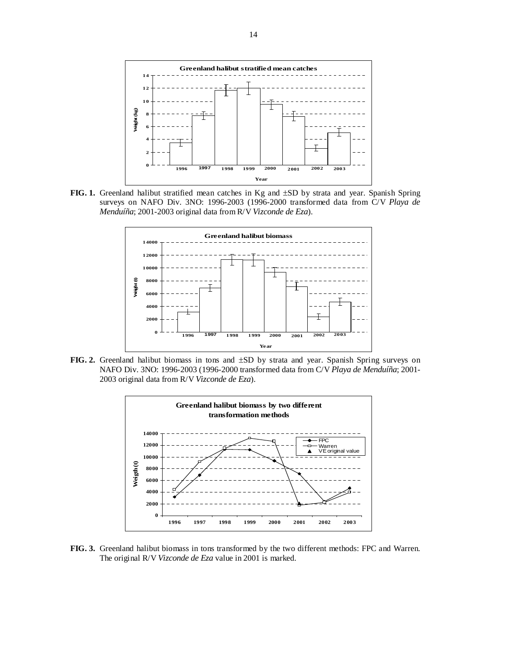

**FIG. 1.** Greenland halibut stratified mean catches in Kg and ±SD by strata and year. Spanish Spring surveys on NAFO Div. 3NO: 1996-2003 (1996-2000 transformed data from C/V *Playa de Menduíña*; 2001-2003 original data from R/V *Vizconde de Eza*).



**FIG. 2.** Greenland halibut biomass in tons and ±SD by strata and year. Spanish Spring surveys on NAFO Div. 3NO: 1996-2003 (1996-2000 transformed data from C/V *Playa de Menduíña*; 2001- 2003 original data from R/V *Vizconde de Eza*).



**FIG. 3.** Greenland halibut biomass in tons transformed by the two different methods: FPC and Warren. The original R/V *Vizconde de Eza* value in 2001 is marked.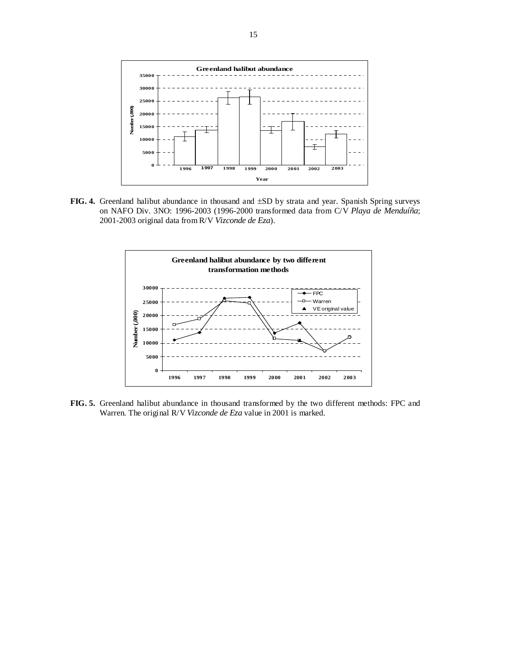

**FIG. 4.** Greenland halibut abundance in thousand and ±SD by strata and year. Spanish Spring surveys on NAFO Div. 3NO: 1996-2003 (1996-2000 transformed data from C/V *Playa de Menduíña*; 2001-2003 original data from R/V *Vizconde de Eza*).



**FIG. 5.** Greenland halibut abundance in thousand transformed by the two different methods: FPC and Warren. The original R/V *Vizconde de Eza* value in 2001 is marked.